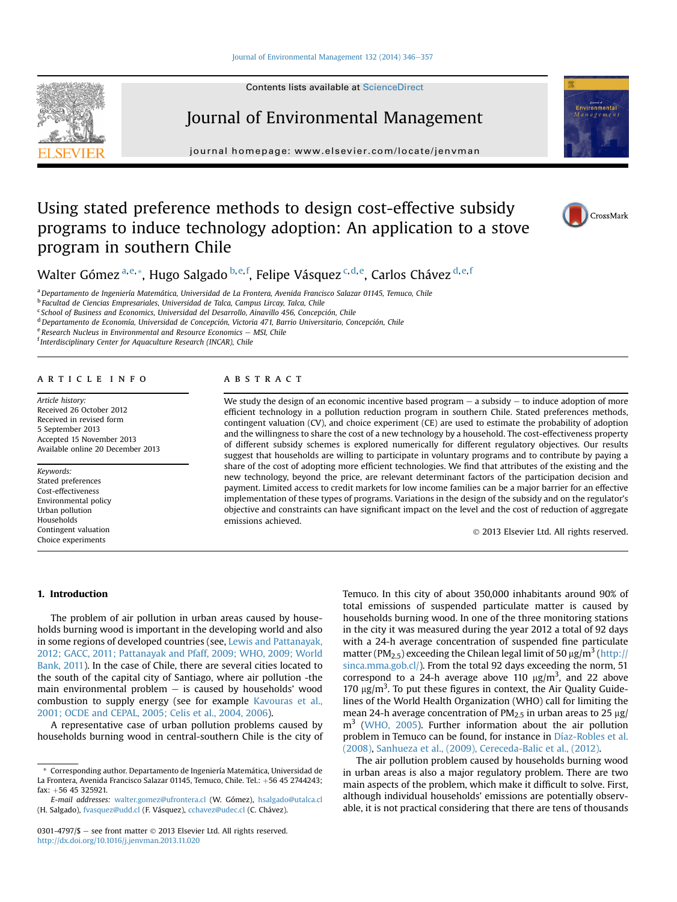#### [Journal of Environmental Management 132 \(2014\) 346](http://dx.doi.org/10.1016/j.jenvman.2013.11.020)-[357](http://dx.doi.org/10.1016/j.jenvman.2013.11.020)

Contents lists available at ScienceDirect





journal homepage: [www.elsevier.com/locate/jenvman](http://www.elsevier.com/locate/jenvman)

# Using stated preference methods to design cost-effective subsidy programs to induce technology adoption: An application to a stove program in southern Chile





Walter Gómez <sup>a,e,</sup>\*, Hugo Salgado <sup>b,e,f</sup>, Felipe Vásquez <sup>c,d,e</sup>, Carlos Chávez <sup>d,e,f</sup>

<sup>a</sup> Departamento de Ingeniería Matemática, Universidad de La Frontera, Avenida Francisco Salazar 01145, Temuco, Chile

<sup>b</sup> Facultad de Ciencias Empresariales, Universidad de Talca, Campus Lircay, Talca, Chile

<sup>c</sup> School of Business and Economics, Universidad del Desarrollo, Ainavillo 456, Concepción, Chile

<sup>d</sup> Departamento de Economía, Universidad de Concepción, Victoria 471, Barrio Universitario, Concepción, Chile

 $e$  Research Nucleus in Environmental and Resource Economics  $-$  MSI, Chile

<sup>f</sup> Interdisciplinary Center for Aquaculture Research (INCAR), Chile

# article info

Article history: Received 26 October 2012 Received in revised form 5 September 2013 Accepted 15 November 2013 Available online 20 December 2013

Keywords: Stated preferences Cost-effectiveness Environmental policy Urban pollution Households Contingent valuation Choice experiments

# ABSTRACT

We study the design of an economic incentive based program  $-$  a subsidy  $-$  to induce adoption of more efficient technology in a pollution reduction program in southern Chile. Stated preferences methods, contingent valuation (CV), and choice experiment (CE) are used to estimate the probability of adoption and the willingness to share the cost of a new technology by a household. The cost-effectiveness property of different subsidy schemes is explored numerically for different regulatory objectives. Our results suggest that households are willing to participate in voluntary programs and to contribute by paying a share of the cost of adopting more efficient technologies. We find that attributes of the existing and the new technology, beyond the price, are relevant determinant factors of the participation decision and payment. Limited access to credit markets for low income families can be a major barrier for an effective implementation of these types of programs. Variations in the design of the subsidy and on the regulator's objective and constraints can have significant impact on the level and the cost of reduction of aggregate emissions achieved.

2013 Elsevier Ltd. All rights reserved.

# 1. Introduction

The problem of air pollution in urban areas caused by households burning wood is important in the developing world and also in some regions of developed countries (see, [Lewis and Pattanayak,](#page-11-0) [2012; GACC, 2011; Pattanayak and Pfaff, 2009; WHO, 2009; World](#page-11-0) [Bank, 2011\)](#page-11-0). In the case of Chile, there are several cities located to the south of the capital city of Santiago, where air pollution -the main environmental problem  $-$  is caused by households' wood combustion to supply energy (see for example [Kavouras et al.,](#page-10-0) [2001; OCDE and CEPAL, 2005; Celis et al., 2004, 2006\)](#page-10-0).

A representative case of urban pollution problems caused by households burning wood in central-southern Chile is the city of Temuco. In this city of about 350,000 inhabitants around 90% of total emissions of suspended particulate matter is caused by households burning wood. In one of the three monitoring stations in the city it was measured during the year 2012 a total of 92 days with a 24-h average concentration of suspended fine particulate matter (PM<sub>2.5</sub>) exceeding the Chilean legal limit of 50  $\mu$ g/m<sup>3</sup> [\(http://](http://sinca.mma.gob.cl/) [sinca.mma.gob.cl/\)](http://sinca.mma.gob.cl/). From the total 92 days exceeding the norm, 51 correspond to a 24-h average above 110  $\mu$ g/m<sup>3</sup>, and 22 above 170  $\mu$ g/m<sup>3</sup>. To put these figures in context, the Air Quality Guidelines of the World Health Organization (WHO) call for limiting the mean 24-h average concentration of  $PM_{2.5}$  in urban areas to 25 µg/  $m<sup>3</sup>$  ([WHO, 2005](#page-11-0)). Further information about the air pollution problem in Temuco can be found, for instance in [Díaz-Robles et al.](#page-10-0) [\(2008\)](#page-10-0), [Sanhueza et al., \(2009\), Cereceda-Balic et al., \(2012\)](#page-11-0).

The air pollution problem caused by households burning wood in urban areas is also a major regulatory problem. There are two main aspects of the problem, which make it difficult to solve. First, although individual households' emissions are potentially observable, it is not practical considering that there are tens of thousands

<sup>\*</sup> Corresponding author. Departamento de Ingeniería Matemática, Universidad de La Frontera, Avenida Francisco Salazar 01145, Temuco, Chile. Tel.: +56 45 2744243;  $fax: +56$  45 325921.

E-mail addresses: [walter.gomez@ufrontera.cl](mailto:walter.gomez@ufrontera.cl) (W. Gómez), [hsalgado@utalca.cl](mailto:hsalgado@utalca.cl) (H. Salgado), [fvasquez@udd.cl](mailto:fvasquez@udd.cl) (F. Vásquez), [cchavez@udec.cl](mailto:cchavez@udec.cl) (C. Chávez).

<sup>0301-4797/\$</sup>  $-$  see front matter  $\odot$  2013 Elsevier Ltd. All rights reserved. <http://dx.doi.org/10.1016/j.jenvman.2013.11.020>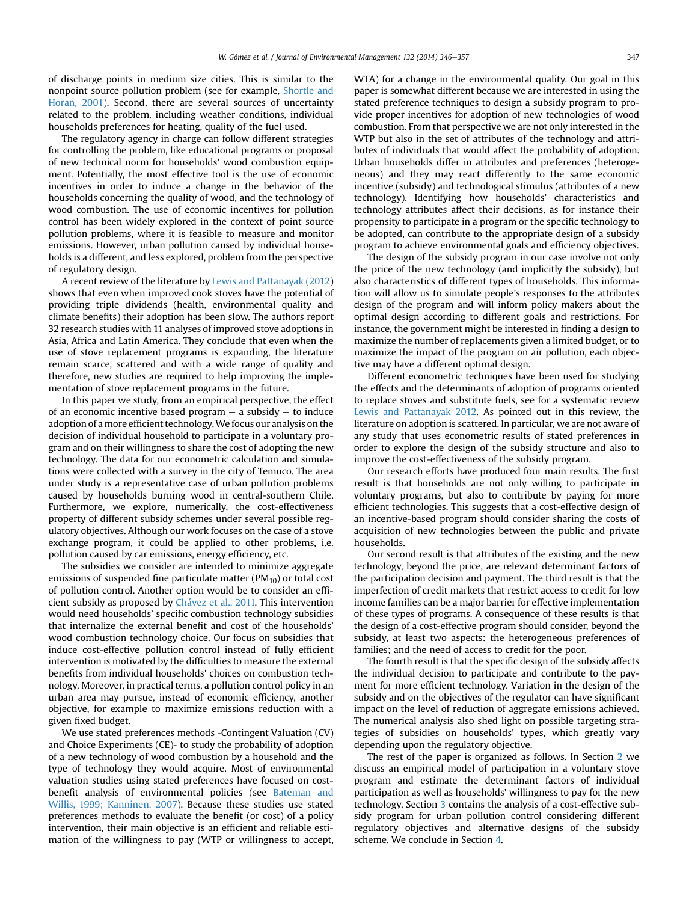of discharge points in medium size cities. This is similar to the nonpoint source pollution problem (see for example, [Shortle and](#page-11-0) [Horan, 2001](#page-11-0)). Second, there are several sources of uncertainty related to the problem, including weather conditions, individual households preferences for heating, quality of the fuel used.

The regulatory agency in charge can follow different strategies for controlling the problem, like educational programs or proposal of new technical norm for households' wood combustion equipment. Potentially, the most effective tool is the use of economic incentives in order to induce a change in the behavior of the households concerning the quality of wood, and the technology of wood combustion. The use of economic incentives for pollution control has been widely explored in the context of point source pollution problems, where it is feasible to measure and monitor emissions. However, urban pollution caused by individual households is a different, and less explored, problem from the perspective of regulatory design.

A recent review of the literature by [Lewis and Pattanayak \(2012\)](#page-11-0) shows that even when improved cook stoves have the potential of providing triple dividends (health, environmental quality and climate benefits) their adoption has been slow. The authors report 32 research studies with 11 analyses of improved stove adoptions in Asia, Africa and Latin America. They conclude that even when the use of stove replacement programs is expanding, the literature remain scarce, scattered and with a wide range of quality and therefore, new studies are required to help improving the implementation of stove replacement programs in the future.

In this paper we study, from an empirical perspective, the effect of an economic incentive based program  $-$  a subsidy  $-$  to induce adoption of a more efficient technology.We focus our analysis on the decision of individual household to participate in a voluntary program and on their willingness to share the cost of adopting the new technology. The data for our econometric calculation and simulations were collected with a survey in the city of Temuco. The area under study is a representative case of urban pollution problems caused by households burning wood in central-southern Chile. Furthermore, we explore, numerically, the cost-effectiveness property of different subsidy schemes under several possible regulatory objectives. Although our work focuses on the case of a stove exchange program, it could be applied to other problems, i.e. pollution caused by car emissions, energy efficiency, etc.

The subsidies we consider are intended to minimize aggregate emissions of suspended fine particulate matter  $(PM_{10})$  or total cost of pollution control. Another option would be to consider an efficient subsidy as proposed by [Chávez et al., 2011.](#page-10-0) This intervention would need households' specific combustion technology subsidies that internalize the external benefit and cost of the households' wood combustion technology choice. Our focus on subsidies that induce cost-effective pollution control instead of fully efficient intervention is motivated by the difficulties to measure the external benefits from individual households' choices on combustion technology. Moreover, in practical terms, a pollution control policy in an urban area may pursue, instead of economic efficiency, another objective, for example to maximize emissions reduction with a given fixed budget.

We use stated preferences methods -Contingent Valuation (CV) and Choice Experiments (CE)- to study the probability of adoption of a new technology of wood combustion by a household and the type of technology they would acquire. Most of environmental valuation studies using stated preferences have focused on costbenefit analysis of environmental policies (see [Bateman and](#page-10-0) [Willis, 1999; Kanninen, 2007](#page-10-0)). Because these studies use stated preferences methods to evaluate the benefit (or cost) of a policy intervention, their main objective is an efficient and reliable estimation of the willingness to pay (WTP or willingness to accept, WTA) for a change in the environmental quality. Our goal in this paper is somewhat different because we are interested in using the stated preference techniques to design a subsidy program to provide proper incentives for adoption of new technologies of wood combustion. From that perspective we are not only interested in the WTP but also in the set of attributes of the technology and attributes of individuals that would affect the probability of adoption. Urban households differ in attributes and preferences (heterogeneous) and they may react differently to the same economic incentive (subsidy) and technological stimulus (attributes of a new technology). Identifying how households' characteristics and technology attributes affect their decisions, as for instance their propensity to participate in a program or the specific technology to be adopted, can contribute to the appropriate design of a subsidy program to achieve environmental goals and efficiency objectives.

The design of the subsidy program in our case involve not only the price of the new technology (and implicitly the subsidy), but also characteristics of different types of households. This information will allow us to simulate people's responses to the attributes design of the program and will inform policy makers about the optimal design according to different goals and restrictions. For instance, the government might be interested in finding a design to maximize the number of replacements given a limited budget, or to maximize the impact of the program on air pollution, each objective may have a different optimal design.

Different econometric techniques have been used for studying the effects and the determinants of adoption of programs oriented to replace stoves and substitute fuels, see for a systematic review [Lewis and Pattanayak 2012](#page-11-0). As pointed out in this review, the literature on adoption is scattered. In particular, we are not aware of any study that uses econometric results of stated preferences in order to explore the design of the subsidy structure and also to improve the cost-effectiveness of the subsidy program.

Our research efforts have produced four main results. The first result is that households are not only willing to participate in voluntary programs, but also to contribute by paying for more efficient technologies. This suggests that a cost-effective design of an incentive-based program should consider sharing the costs of acquisition of new technologies between the public and private households.

Our second result is that attributes of the existing and the new technology, beyond the price, are relevant determinant factors of the participation decision and payment. The third result is that the imperfection of credit markets that restrict access to credit for low income families can be a major barrier for effective implementation of these types of programs. A consequence of these results is that the design of a cost-effective program should consider, beyond the subsidy, at least two aspects: the heterogeneous preferences of families; and the need of access to credit for the poor.

The fourth result is that the specific design of the subsidy affects the individual decision to participate and contribute to the payment for more efficient technology. Variation in the design of the subsidy and on the objectives of the regulator can have significant impact on the level of reduction of aggregate emissions achieved. The numerical analysis also shed light on possible targeting strategies of subsidies on households' types, which greatly vary depending upon the regulatory objective.

The rest of the paper is organized as follows. In Section [2](#page-2-0) we discuss an empirical model of participation in a voluntary stove program and estimate the determinant factors of individual participation as well as households' willingness to pay for the new technology. Section [3](#page-5-0) contains the analysis of a cost-effective subsidy program for urban pollution control considering different regulatory objectives and alternative designs of the subsidy scheme. We conclude in Section [4.](#page-9-0)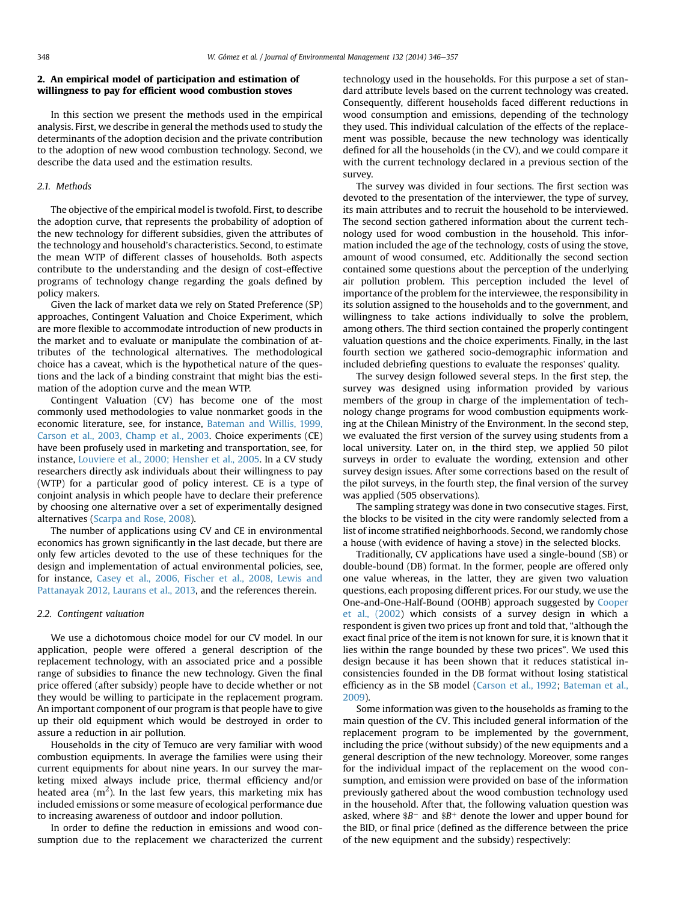# <span id="page-2-0"></span>2. An empirical model of participation and estimation of willingness to pay for efficient wood combustion stoves

In this section we present the methods used in the empirical analysis. First, we describe in general the methods used to study the determinants of the adoption decision and the private contribution to the adoption of new wood combustion technology. Second, we describe the data used and the estimation results.

# 2.1. Methods

The objective of the empirical model is twofold. First, to describe the adoption curve, that represents the probability of adoption of the new technology for different subsidies, given the attributes of the technology and household's characteristics. Second, to estimate the mean WTP of different classes of households. Both aspects contribute to the understanding and the design of cost-effective programs of technology change regarding the goals defined by policy makers.

Given the lack of market data we rely on Stated Preference (SP) approaches, Contingent Valuation and Choice Experiment, which are more flexible to accommodate introduction of new products in the market and to evaluate or manipulate the combination of attributes of the technological alternatives. The methodological choice has a caveat, which is the hypothetical nature of the questions and the lack of a binding constraint that might bias the estimation of the adoption curve and the mean WTP.

Contingent Valuation (CV) has become one of the most commonly used methodologies to value nonmarket goods in the economic literature, see, for instance, [Bateman and Willis, 1999,](#page-10-0) [Carson et al., 2003, Champ et al., 2003](#page-10-0). Choice experiments (CE) have been profusely used in marketing and transportation, see, for instance, [Louviere et al., 2000; Hensher et al., 2005](#page-11-0). In a CV study researchers directly ask individuals about their willingness to pay (WTP) for a particular good of policy interest. CE is a type of conjoint analysis in which people have to declare their preference by choosing one alternative over a set of experimentally designed alternatives [\(Scarpa and Rose, 2008\)](#page-11-0).

The number of applications using CV and CE in environmental economics has grown significantly in the last decade, but there are only few articles devoted to the use of these techniques for the design and implementation of actual environmental policies, see, for instance, [Casey et al., 2006, Fischer et al., 2008, Lewis and](#page-10-0) [Pattanayak 2012, Laurans et al., 2013](#page-10-0), and the references therein.

#### 2.2. Contingent valuation

We use a dichotomous choice model for our CV model. In our application, people were offered a general description of the replacement technology, with an associated price and a possible range of subsidies to finance the new technology. Given the final price offered (after subsidy) people have to decide whether or not they would be willing to participate in the replacement program. An important component of our program is that people have to give up their old equipment which would be destroyed in order to assure a reduction in air pollution.

Households in the city of Temuco are very familiar with wood combustion equipments. In average the families were using their current equipments for about nine years. In our survey the marketing mixed always include price, thermal efficiency and/or heated area (m<sup>2</sup>). In the last few years, this marketing mix has included emissions or some measure of ecological performance due to increasing awareness of outdoor and indoor pollution.

In order to define the reduction in emissions and wood consumption due to the replacement we characterized the current technology used in the households. For this purpose a set of standard attribute levels based on the current technology was created. Consequently, different households faced different reductions in wood consumption and emissions, depending of the technology they used. This individual calculation of the effects of the replacement was possible, because the new technology was identically defined for all the households (in the CV), and we could compare it with the current technology declared in a previous section of the survey.

The survey was divided in four sections. The first section was devoted to the presentation of the interviewer, the type of survey, its main attributes and to recruit the household to be interviewed. The second section gathered information about the current technology used for wood combustion in the household. This information included the age of the technology, costs of using the stove, amount of wood consumed, etc. Additionally the second section contained some questions about the perception of the underlying air pollution problem. This perception included the level of importance of the problem for the interviewee, the responsibility in its solution assigned to the households and to the government, and willingness to take actions individually to solve the problem, among others. The third section contained the properly contingent valuation questions and the choice experiments. Finally, in the last fourth section we gathered socio-demographic information and included debriefing questions to evaluate the responses' quality.

The survey design followed several steps. In the first step, the survey was designed using information provided by various members of the group in charge of the implementation of technology change programs for wood combustion equipments working at the Chilean Ministry of the Environment. In the second step, we evaluated the first version of the survey using students from a local university. Later on, in the third step, we applied 50 pilot surveys in order to evaluate the wording, extension and other survey design issues. After some corrections based on the result of the pilot surveys, in the fourth step, the final version of the survey was applied (505 observations).

The sampling strategy was done in two consecutive stages. First, the blocks to be visited in the city were randomly selected from a list of income stratified neighborhoods. Second, we randomly chose a house (with evidence of having a stove) in the selected blocks.

Traditionally, CV applications have used a single-bound (SB) or double-bound (DB) format. In the former, people are offered only one value whereas, in the latter, they are given two valuation questions, each proposing different prices. For our study, we use the One-and-One-Half-Bound (OOHB) approach suggested by [Cooper](#page-10-0) [et al., \(2002\)](#page-10-0) which consists of a survey design in which a respondent is given two prices up front and told that, "although the exact final price of the item is not known for sure, it is known that it lies within the range bounded by these two prices". We used this design because it has been shown that it reduces statistical inconsistencies founded in the DB format without losing statistical efficiency as in the SB model ([Carson et al., 1992;](#page-10-0) [Bateman et al.,](#page-10-0) [2009](#page-10-0)).

Some information was given to the households as framing to the main question of the CV. This included general information of the replacement program to be implemented by the government, including the price (without subsidy) of the new equipments and a general description of the new technology. Moreover, some ranges for the individual impact of the replacement on the wood consumption, and emission were provided on base of the information previously gathered about the wood combustion technology used in the household. After that, the following valuation question was asked, where  $\$B^-$  and  $\$B^+$  denote the lower and upper bound for the BID, or final price (defined as the difference between the price of the new equipment and the subsidy) respectively: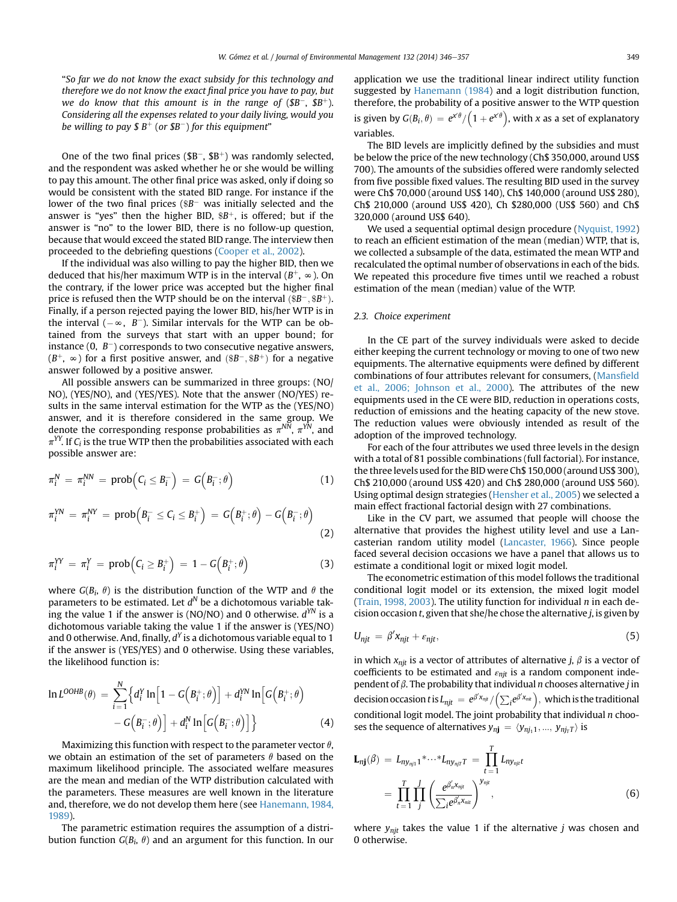"So far we do not know the exact subsidy for this technology and therefore we do not know the exact final price you have to pay, but we do know that this amount is in the range of (\$B $^-,$  \$B $^+$ ). Considering all the expenses related to your daily living, would you be willing to pay \$ B<sup>+</sup> (or \$B<sup>–</sup>) for this equipment"

One of the two final prices ( $$B^-$ ,  $$B^+$ ) was randomly selected, and the respondent was asked whether he or she would be willing to pay this amount. The other final price was asked, only if doing so would be consistent with the stated BID range. For instance if the lower of the two final prices  $(\$B^-$  was initially selected and the answer is "yes" then the higher BID,  $B^+$ , is offered; but if the answer is "no" to the lower BID, there is no follow-up question, because that would exceed the stated BID range. The interview then proceeded to the debriefing questions [\(Cooper et al., 2002](#page-10-0)).

If the individual was also willing to pay the higher BID, then we deduced that his/her maximum WTP is in the interval  $(B^+, \infty)$ . On the contrary, if the lower price was accepted but the higher final price is refused then the WTP should be on the interval  $(\$B^-, \$B^+)$ .<br>Finally if a person rejected paving the lower BID, bis/ber WTP is in Finally, if a person rejected paying the lower BID, his/her WTP is in the interval  $(-\infty, B^-)$ . Similar intervals for the WTP can be ob-<br>tained from the surveys that start with an unner bound: for tained from the surveys that start with an upper bound; for instance (0,  $\,B^{-})$  corresponds to two consecutive negative answers,  $(B^+, \infty)$  for a first positive answer, and  $(\$B^-, \$B^+)$  for a negative<br>answer followed by a positive answer. answer followed by a positive answer.

All possible answers can be summarized in three groups: (NO/ NO), (YES/NO), and (YES/YES). Note that the answer (NO/YES) results in the same interval estimation for the WTP as the (YES/NO) answer, and it is therefore considered in the same group. We denote the corresponding response probabilities as  $\pi^{N\tilde{N}}$ ,  $\pi^{Y\tilde{N}}$ , and  $\pi^{YY}$ . If C<sub>i</sub> is the true WTP then the probabilities associated with each possible answer are:

$$
\pi_i^N = \pi_i^{NN} = \text{prob}\Big(C_i \leq B_i^-\Big) = G\Big(B_i^-, \theta\Big) \tag{1}
$$

$$
\pi_i^{YN} = \pi_i^{NY} = \text{prob}\Big(B_i^- \le C_i \le B_i^+\Big) = G\Big(B_i^+;\theta\Big) - G\Big(B_i^-;\theta\Big) \tag{2}
$$

$$
\pi_i^{YY} = \pi_i^Y = \text{prob}\Big(C_i \ge B_i^+\Big) = 1 - G\Big(B_i^+;\theta\Big) \tag{3}
$$

where  $G(B_i, \theta)$  is the distribution function of the WTP and  $\theta$  the parameters to be estimated. Let  $d^N$  be a dichotomous variable taking the value 1 if the answer is (NO/NO) and 0 otherwise.  $d^{YN}$  is a dichotomous variable taking the value 1 if the answer is (YES/NO) and 0 otherwise. And, finally,  $d<sup>Y</sup>$  is a dichotomous variable equal to 1 if the answer is (YES/YES) and 0 otherwise. Using these variables, the likelihood function is:

$$
\ln L^{OOHB}(\theta) = \sum_{i=1}^{N} \left\{ d_i^{Y} \ln \left[ 1 - G\left(B_i^+, \theta\right) \right] + d_i^{YN} \ln \left[ G\left(B_i^+, \theta\right) \right] - G\left(B_i^-, \theta\right) \right\} + d_i^{N} \ln \left[ G\left(B_i^-, \theta\right) \right] \}
$$
(4)

Maximizing this function with respect to the parameter vector  $\theta$ , we obtain an estimation of the set of parameters  $\theta$  based on the maximum likelihood principle. The associated welfare measures are the mean and median of the WTP distribution calculated with the parameters. These measures are well known in the literature and, therefore, we do not develop them here (see [Hanemann, 1984,](#page-10-0) [1989\)](#page-10-0).

The parametric estimation requires the assumption of a distribution function  $G(B_i, \theta)$  and an argument for this function. In our application we use the traditional linear indirect utility function suggested by [Hanemann \(1984\)](#page-10-0) and a logit distribution function, therefore, the probability of a positive answer to the WTP question is given by  $G(B_i, \theta) = e^{\chi(\theta)} \big/ \Big(1 + e^{\chi(\theta)}\Big)$ , with x as a set of explanatory variables.

The BID levels are implicitly defined by the subsidies and must be below the price of the new technology (Ch\$ 350,000, around US\$ 700). The amounts of the subsidies offered were randomly selected from five possible fixed values. The resulting BID used in the survey were Ch\$ 70,000 (around US\$ 140), Ch\$ 140,000 (around US\$ 280), Ch\$ 210,000 (around US\$ 420), Ch \$280,000 (US\$ 560) and Ch\$ 320,000 (around US\$ 640).

We used a sequential optimal design procedure [\(Nyquist, 1992\)](#page-11-0) to reach an efficient estimation of the mean (median) WTP, that is, we collected a subsample of the data, estimated the mean WTP and recalculated the optimal number of observations in each of the bids. We repeated this procedure five times until we reached a robust estimation of the mean (median) value of the WTP.

#### 2.3. Choice experiment

In the CE part of the survey individuals were asked to decide either keeping the current technology or moving to one of two new equipments. The alternative equipments were defined by different combinations of four attributes relevant for consumers, [\(Mans](#page-11-0)field [et al., 2006; Johnson et al., 2000\)](#page-11-0). The attributes of the new equipments used in the CE were BID, reduction in operations costs, reduction of emissions and the heating capacity of the new stove. The reduction values were obviously intended as result of the adoption of the improved technology.

For each of the four attributes we used three levels in the design with a total of 81 possible combinations (full factorial). For instance, the three levels used for the BID were Ch\$ 150,000 (around US\$ 300), Ch\$ 210,000 (around US\$ 420) and Ch\$ 280,000 (around US\$ 560). Using optimal design strategies [\(Hensher et al., 2005\)](#page-10-0) we selected a main effect fractional factorial design with 27 combinations.

Like in the CV part, we assumed that people will choose the alternative that provides the highest utility level and use a Lancasterian random utility model [\(Lancaster, 1966\)](#page-10-0). Since people faced several decision occasions we have a panel that allows us to estimate a conditional logit or mixed logit model.

The econometric estimation of this model follows the traditional conditional logit model or its extension, the mixed logit model ([Train, 1998, 2003](#page-11-0)). The utility function for individual  $n$  in each decision occasion  $t$ , given that she/he chose the alternative  $j$ , is given by

$$
U_{njt} = \beta' x_{njt} + \varepsilon_{njt},\tag{5}
$$

in which  $x_{nit}$  is a vector of attributes of alternative *j*,  $\beta$  is a vector of coefficients to be estimated and  $\varepsilon_{njt}$  is a random component independent of  $\beta$ . The probability that individual n chooses alternative j in decision occasion t is  $L_{njt} = e^{\beta' x_{njt}} / (\sum_i e^{\beta' x_{nit}})$ , which is the traditional conditional logit model. The joint probability that individual  $n$  chooses the sequence of alternatives  $y_{nj} = \langle y_{nj_11}, ..., y_{nj_TT} \rangle$  is

$$
\mathbf{L}_{nj}(\beta) = L_{ny_{nj1}} \ast \dots \ast L_{ny_{njT}} r = \prod_{t=1}^{T} L_{ny_{njt}} t
$$
  
= 
$$
\prod_{t=1}^{T} \prod_{j}^{J} \left( \frac{e^{\beta'_{n} x_{njt}}}{\sum_{i} e^{\beta'_{n} x_{ni}}} \right)^{y_{njt}},
$$
 (6)

where  $y_{njt}$  takes the value 1 if the alternative *j* was chosen and 0 otherwise.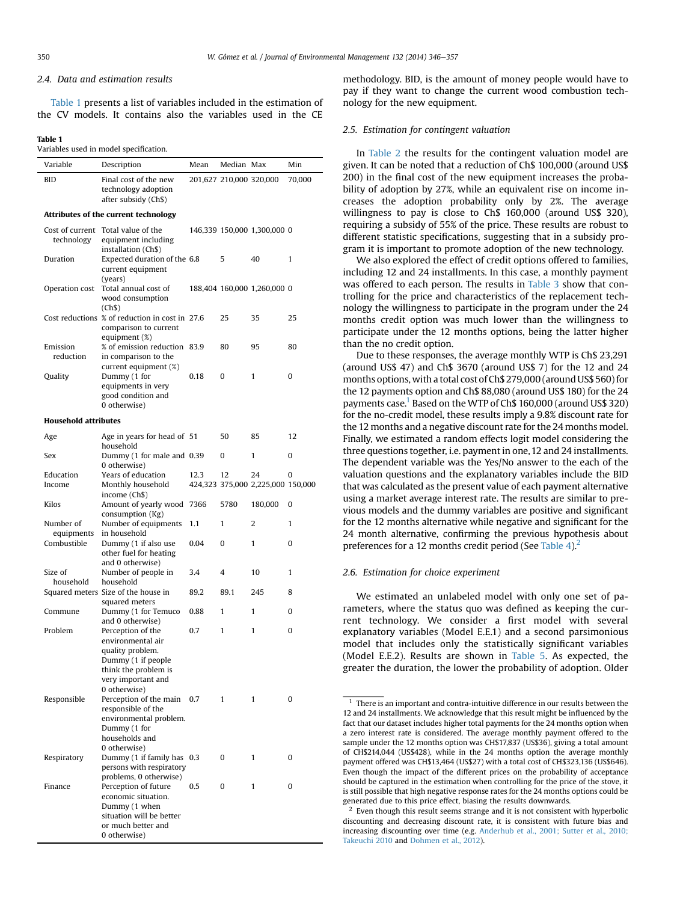## 2.4. Data and estimation results

Table 1 presents a list of variables included in the estimation of the CV models. It contains also the variables used in the CE

#### Table 1

Variables used in model specification.

| Variable                    | Description                                                                                                                                              | Mean | Median Max              |                                         | Min      |
|-----------------------------|----------------------------------------------------------------------------------------------------------------------------------------------------------|------|-------------------------|-----------------------------------------|----------|
| BID                         | Final cost of the new<br>technology adoption<br>after subsidy (Ch\$)                                                                                     |      | 201,627 210,000 320,000 |                                         | 70,000   |
|                             | <b>Attributes of the current technology</b>                                                                                                              |      |                         |                                         |          |
| technology                  | Cost of current Total value of the<br>equipment including<br>installation (Ch\$)                                                                         |      |                         | 146,339 150,000 1,300,000 0             |          |
| Duration                    | Expected duration of the 6.8<br>current equipment<br>(years)                                                                                             |      | 5                       | 40                                      | 1        |
| Operation cost              | Total annual cost of<br>wood consumption<br>(Ch\$)                                                                                                       |      |                         | 188,404 160,000 1,260,000 0             |          |
|                             | Cost reductions % of reduction in cost in 27.6<br>comparison to current<br>equipment (%)                                                                 |      | 25                      | 35                                      | 25       |
| Emission<br>reduction       | % of emission reduction 83.9<br>in comparison to the<br>current equipment (%)                                                                            |      | 80                      | 95                                      | 80       |
| Quality                     | Dummy (1 for<br>equipments in very<br>good condition and<br>0 otherwise)                                                                                 | 0.18 | 0                       | 1                                       | 0        |
| <b>Household attributes</b> |                                                                                                                                                          |      |                         |                                         |          |
| Age                         | Age in years for head of 51<br>household                                                                                                                 |      | 50                      | 85                                      | 12       |
| Sex                         | Dummy (1 for male and 0.39<br>0 otherwise)                                                                                                               |      | 0                       | 1                                       | $\Omega$ |
| Education<br>Income         | Years of education<br>Monthly household<br>income (Ch\$)                                                                                                 | 12.3 | 12                      | 24<br>424,323 375,000 2,225,000 150,000 | 0        |
| Kilos                       | Amount of yearly wood<br>consumption (Kg)                                                                                                                | 7366 | 5780                    | 180,000                                 | 0        |
| Number of<br>equipments     | Number of equipments<br>in household                                                                                                                     | 1.1  | 1                       | $\overline{2}$                          | 1        |
| Combustible                 | Dummy (1 if also use<br>other fuel for heating<br>and 0 otherwise)                                                                                       | 0.04 | 0                       | $\mathbf{1}$                            | 0        |
| Size of<br>household        | Number of people in<br>household                                                                                                                         | 3.4  | 4                       | 10                                      | 1        |
|                             | Squared meters Size of the house in                                                                                                                      | 89.2 | 89.1                    | 245                                     | 8        |
| Commune                     | squared meters<br>Dummy (1 for Temuco                                                                                                                    | 0.88 | 1                       | 1                                       | 0        |
| Problem                     | and 0 otherwise)<br>Perception of the<br>environmental air<br>quality problem.                                                                           | 0.7  | $\mathbf{1}$            | $\mathbf{1}$                            | 0        |
|                             | Dummy (1 if people<br>think the problem is<br>very important and<br>0 otherwise)                                                                         |      |                         |                                         |          |
| Responsible                 | Perception of the main<br>responsible of the<br>environmental problem.<br>Dummy (1 for<br>households and                                                 | 0.7  | $\mathbf{1}$            | $\mathbf{1}$                            | 0        |
| Respiratory                 | 0 otherwise)<br>Dummy (1 if family has 0.3<br>persons with respiratory                                                                                   |      | $\Omega$                | 1                                       | 0        |
| Finance                     | problems, 0 otherwise)<br>Perception of future<br>economic situation.<br>Dummy (1 when<br>situation will be better<br>or much better and<br>0 otherwise) | 0.5  | 0                       | 1                                       | 0        |

methodology. BID, is the amount of money people would have to pay if they want to change the current wood combustion technology for the new equipment.

## 2.5. Estimation for contingent valuation

In [Table 2](#page-5-0) the results for the contingent valuation model are given. It can be noted that a reduction of Ch\$ 100,000 (around US\$ 200) in the final cost of the new equipment increases the probability of adoption by 27%, while an equivalent rise on income increases the adoption probability only by 2%. The average willingness to pay is close to Ch\$ 160,000 (around US\$ 320), requiring a subsidy of 55% of the price. These results are robust to different statistic specifications, suggesting that in a subsidy program it is important to promote adoption of the new technology.

We also explored the effect of credit options offered to families, including 12 and 24 installments. In this case, a monthly payment was offered to each person. The results in [Table 3](#page-6-0) show that controlling for the price and characteristics of the replacement technology the willingness to participate in the program under the 24 months credit option was much lower than the willingness to participate under the 12 months options, being the latter higher than the no credit option.

Due to these responses, the average monthly WTP is Ch\$ 23,291 (around US\$ 47) and Ch\$ 3670 (around US\$ 7) for the 12 and 24 months options, with a total cost of Ch\$ 279,000 (around US\$ 560) for the 12 payments option and Ch\$ 88,080 (around US\$ 180) for the 24 payments case.1 Based on the WTP of Ch\$ 160,000 (around US\$ 320) for the no-credit model, these results imply a 9.8% discount rate for the 12 months and a negative discount rate for the 24 months model. Finally, we estimated a random effects logit model considering the three questions together, i.e. payment in one,12 and 24 installments. The dependent variable was the Yes/No answer to the each of the valuation questions and the explanatory variables include the BID that was calculated as the present value of each payment alternative using a market average interest rate. The results are similar to previous models and the dummy variables are positive and significant for the 12 months alternative while negative and significant for the 24 month alternative, confirming the previous hypothesis about preferences for a 12 months credit period (See [Table 4\)](#page-7-0).<sup>2</sup>

#### 2.6. Estimation for choice experiment

We estimated an unlabeled model with only one set of parameters, where the status quo was defined as keeping the current technology. We consider a first model with several explanatory variables (Model E.E.1) and a second parsimonious model that includes only the statistically significant variables (Model E.E.2). Results are shown in [Table 5.](#page-7-0) As expected, the greater the duration, the lower the probability of adoption. Older

 $1$  There is an important and contra-intuitive difference in our results between the 12 and 24 installments. We acknowledge that this result might be influenced by the fact that our dataset includes higher total payments for the 24 months option when a zero interest rate is considered. The average monthly payment offered to the sample under the 12 months option was CH\$17,837 (US\$36), giving a total amount of CH\$214,044 (US\$428), while in the 24 months option the average monthly payment offered was CH\$13,464 (US\$27) with a total cost of CH\$323,136 (US\$646). Even though the impact of the different prices on the probability of acceptance should be captured in the estimation when controlling for the price of the stove, it is still possible that high negative response rates for the 24 months options could be generated due to this price effect, biasing the results downwards.<br><sup>2</sup> Even though this social sets of the results downwards.

Even though this result seems strange and it is not consistent with hyperbolic discounting and decreasing discount rate, it is consistent with future bias and increasing discounting over time (e.g. [Anderhub et al., 2001; Sutter et al., 2010;](#page-10-0) [Takeuchi 2010](#page-10-0) and [Dohmen et al., 2012\)](#page-10-0).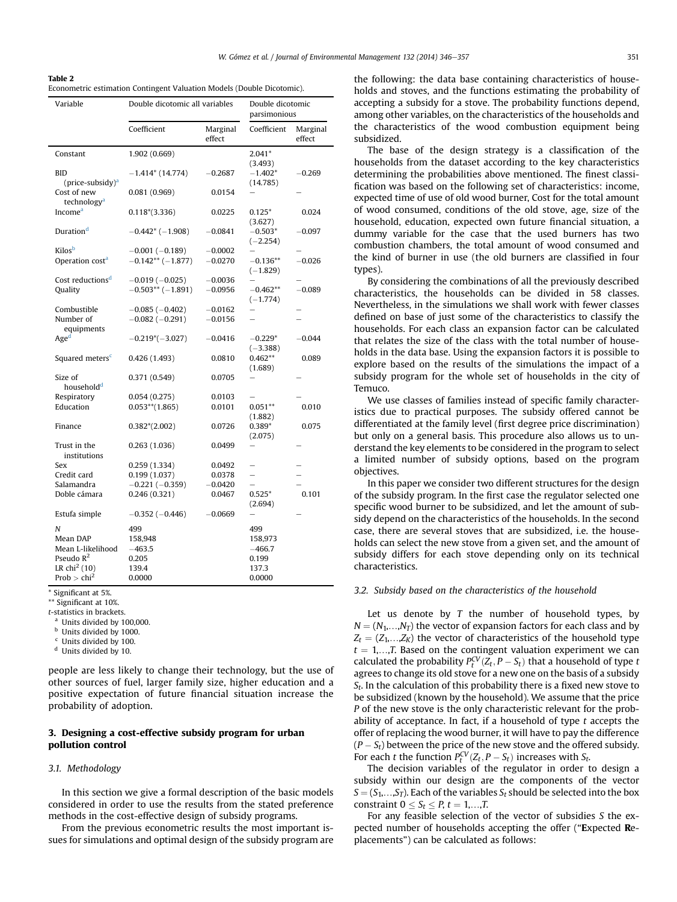#### <span id="page-5-0"></span>Table 2

Econometric estimation Contingent Valuation Models (Double Dicotomic).

| Variable                               | Double dicotomic all variables     |                    | Double dicotomic<br>parsimonious |                    |
|----------------------------------------|------------------------------------|--------------------|----------------------------------|--------------------|
|                                        | Coefficient                        | Marginal<br>effect | Coefficient                      | Marginal<br>effect |
| Constant                               | 1.902 (0.669)                      |                    | $2.041*$<br>(3.493)              |                    |
| <b>BID</b><br>$(p$ rice-subsidy $)^a$  | $-1.414*(14.774)$                  | $-0.2687$          | $-1.402*$<br>(14.785)            | $-0.269$           |
| Cost of new<br>technology <sup>a</sup> | 0.081(0.969)                       | 0.0154             |                                  |                    |
| Income <sup>a</sup>                    | $0.118*(3.336)$                    | 0.0225             | $0.125*$<br>(3.627)              | 0.024              |
| Duration <sup>d</sup>                  | $-0.442$ <sup>*</sup> ( $-1.908$ ) | $-0.0841$          | $-0.503^*$<br>$(-2.254)$         | $-0.097$           |
| Kilosb                                 | $-0.001(-0.189)$                   | $-0.0002$          |                                  |                    |
| Operation cost <sup>a</sup>            | $-0.142**(-1.877)$                 | $-0.0270$          | $-0.136**$                       | $-0.026$           |
| Cost reductions <sup>d</sup>           |                                    |                    | $(-1.829)$                       |                    |
|                                        | $-0.019(-0.025)$                   | $-0.0036$          |                                  |                    |
| Quality                                | $-0.503**(-1.891)$                 | $-0.0956$          | $-0.462**$<br>$(-1.774)$         | $-0.089$           |
| Combustible                            | $-0.085(-0.402)$                   | $-0.0162$          | $\overline{\phantom{0}}$         |                    |
| Number of<br>equipments                | $-0.082(-0.291)$                   | $-0.0156$          |                                  |                    |
| Age <sup>d</sup>                       | $-0.219*(-3.027)$                  | $-0.0416$          | $-0.229*$<br>$(-3.388)$          | $-0.044$           |
| Squared meters <sup>c</sup>            | 0.426(1.493)                       | 0.0810             | $0.462**$<br>(1.689)             | 0.089              |
| Size of<br>household <sup>d</sup>      | 0.371(0.549)                       | 0.0705             |                                  |                    |
| Respiratory                            | 0.054(0.275)                       | 0.0103             |                                  |                    |
| Education                              | $0.053**$ (1.865)                  | 0.0101             | $0.051**$<br>(1.882)             | 0.010              |
| Finance                                | $0.382*(2.002)$                    | 0.0726             | $0.389*$<br>(2.075)              | 0.075              |
| Trust in the                           | 0.263(1.036)                       | 0.0499             |                                  |                    |
| institutions                           |                                    |                    |                                  |                    |
| Sex                                    | 0.259 (1.334)                      | 0.0492             |                                  |                    |
| Credit card                            | 0.199(1.037)                       | 0.0378             |                                  |                    |
| Salamandra                             | $-0.221(-0.359)$                   | $-0.0420$          |                                  |                    |
| Doble cámara                           | 0.246(0.321)                       | 0.0467             | $0.525*$<br>(2.694)              | 0.101              |
| Estufa simple                          | $-0.352(-0.446)$                   | $-0.0669$          | $\overline{\phantom{0}}$         |                    |
| N                                      | 499                                |                    | 499                              |                    |
| Mean DAP                               | 158,948                            |                    | 158,973                          |                    |
| Mean L-likelihood                      | $-463.5$                           |                    | $-466.7$                         |                    |
| Pseudo $R^2$                           | 0.205                              |                    | 0.199                            |                    |
| LR chi <sup>2</sup> (10)               | 139.4                              |                    | 137.3                            |                    |
| Prob $>$ chi <sup>2</sup>              | 0.0000                             |                    | 0.0000                           |                    |

\* Significant at 5%.

\*\* Significant at 10%.

t-statistics in brackets.

 $a$  Units divided by 100,000.<br>  $b$  Units divided by 1000.

Units divided by 1000.

 $\frac{c}{d}$  Units divided by 100.

Units divided by 10.

people are less likely to change their technology, but the use of other sources of fuel, larger family size, higher education and a positive expectation of future financial situation increase the probability of adoption.

# 3. Designing a cost-effective subsidy program for urban pollution control

#### 3.1. Methodology

In this section we give a formal description of the basic models considered in order to use the results from the stated preference methods in the cost-effective design of subsidy programs.

From the previous econometric results the most important issues for simulations and optimal design of the subsidy program are the following: the data base containing characteristics of households and stoves, and the functions estimating the probability of accepting a subsidy for a stove. The probability functions depend, among other variables, on the characteristics of the households and the characteristics of the wood combustion equipment being subsidized.

The base of the design strategy is a classification of the households from the dataset according to the key characteristics determining the probabilities above mentioned. The finest classification was based on the following set of characteristics: income, expected time of use of old wood burner, Cost for the total amount of wood consumed, conditions of the old stove, age, size of the household, education, expected own future financial situation, a dummy variable for the case that the used burners has two combustion chambers, the total amount of wood consumed and the kind of burner in use (the old burners are classified in four types).

By considering the combinations of all the previously described characteristics, the households can be divided in 58 classes. Nevertheless, in the simulations we shall work with fewer classes defined on base of just some of the characteristics to classify the households. For each class an expansion factor can be calculated that relates the size of the class with the total number of households in the data base. Using the expansion factors it is possible to explore based on the results of the simulations the impact of a subsidy program for the whole set of households in the city of Temuco.

We use classes of families instead of specific family characteristics due to practical purposes. The subsidy offered cannot be differentiated at the family level (first degree price discrimination) but only on a general basis. This procedure also allows us to understand the key elements to be considered in the program to select a limited number of subsidy options, based on the program objectives.

In this paper we consider two different structures for the design of the subsidy program. In the first case the regulator selected one specific wood burner to be subsidized, and let the amount of subsidy depend on the characteristics of the households. In the second case, there are several stoves that are subsidized, i.e. the households can select the new stove from a given set, and the amount of subsidy differs for each stove depending only on its technical characteristics.

# 3.2. Subsidy based on the characteristics of the household

Let us denote by  $T$  the number of household types, by  $N = (N_1,...,N_T)$  the vector of expansion factors for each class and by  $Z_t = (Z_1,...,Z_K)$  the vector of characteristics of the household type  $t = 1,...,T$ . Based on the contingent valuation experiment we can calculated the probability  $P_t^{\text{CV}}(Z_t, P - S_t)$  that a household of type to change its old stove for a new one on the basis of a subsidy agrees to change its old stove for a new one on the basis of a subsidy  $S_t$ . In the calculation of this probability there is a fixed new stove to be subsidized (known by the household). We assume that the price P of the new stove is the only characteristic relevant for the probability of acceptance. In fact, if a household of type  $t$  accepts the offer of replacing the wood burner, it will have to pay the difference  $(P - S_t)$  between the price of the new stove and the offered subsidy.<br>For each t the function  $P^{CV}(Z, P - S_t)$  increases with S. For each t the function  $P_t^{CV}(Z_t, P - S_t)$  increases with  $S_t$ .<br>The decision variables of the regulator in order in

The decision variables of the regulator in order to design a subsidy within our design are the components of the vector  $S = (S_1, \ldots, S_T)$ . Each of the variables  $S_t$  should be selected into the box constraint  $0 \leq S_t \leq P$ ,  $t = 1,...,T$ .

For any feasible selection of the vector of subsidies S the expected number of households accepting the offer ("Expected Replacements") can be calculated as follows: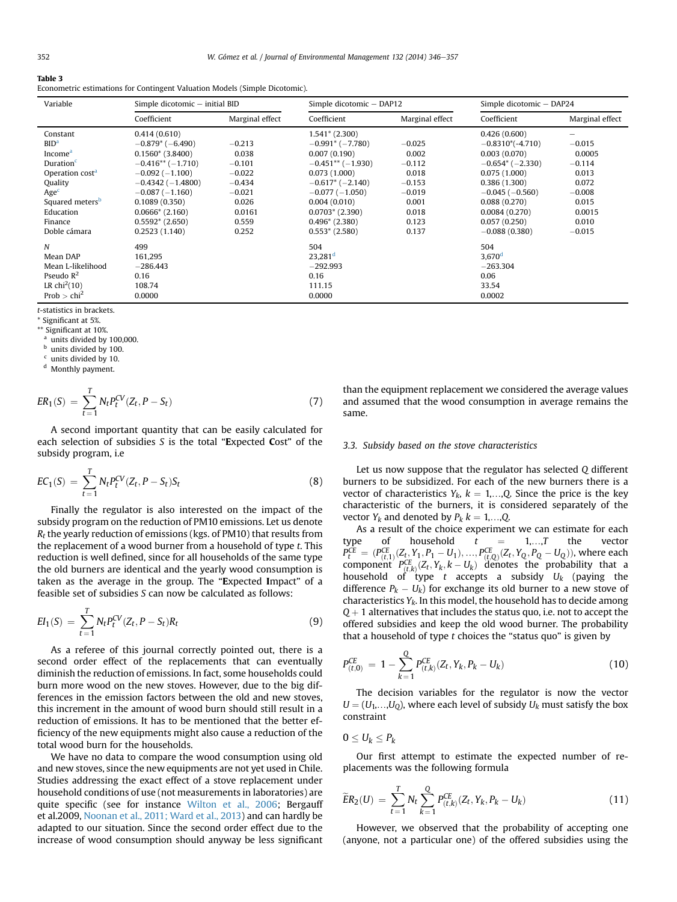#### <span id="page-6-0"></span>Table 3

Econometric estimations for Contingent Valuation Models (Simple Dicotomic).

| Variable                    |                         | Simple dicotomic $-$ initial BID |                         | Simple dicotomic - DAP12 |                                | Simple dicotomic - DAP24 |  |
|-----------------------------|-------------------------|----------------------------------|-------------------------|--------------------------|--------------------------------|--------------------------|--|
|                             | Coefficient             | Marginal effect                  | Coefficient             | Marginal effect          | Coefficient                    | Marginal effect          |  |
| Constant                    | 0.414(0.610)            |                                  | $1.541$ $(2.300)$       |                          | 0.426(0.600)                   |                          |  |
| BID <sup>a</sup>            | $-0.879$ * (-6.490)     | $-0.213$                         | $-0.991$ * ( $-7.780$ ) | $-0.025$                 | $-0.8310*(-4.710)$             | $-0.015$                 |  |
| Income <sup>a</sup>         | $0.1560*(3.8400)$       | 0.038                            | 0.007(0.190)            | 0.002                    | 0.003(0.070)                   | 0.0005                   |  |
| Duration <sup>c</sup>       | $-0.416**(-1.710)$      | $-0.101$                         | $-0.451**(-1.930)$      | $-0.112$                 | $-0.654$ <sup>*</sup> (-2.330) | $-0.114$                 |  |
| Operation cost <sup>a</sup> | $-0.092(-1.100)$        | $-0.022$                         | 0.073(1.000)            | 0.018                    | 0.075(1.000)                   | 0.013                    |  |
| Quality                     | $-0.4342$ ( $-1.4800$ ) | $-0.434$                         | $-0.617$ * ( $-2.140$ ) | $-0.153$                 | 0.386(1.300)                   | 0.072                    |  |
| Age <sup>c</sup>            | $-0.087(-1.160)$        | $-0.021$                         | $-0.077(-1.050)$        | $-0.019$                 | $-0.045$ ( $-0.560$ )          | $-0.008$                 |  |
| Squared meters <sup>b</sup> | 0.1089(0.350)           | 0.026                            | 0.004(0.010)            | 0.001                    | 0.088(0.270)                   | 0.015                    |  |
| Education                   | $0.0666*$ (2.160)       | 0.0161                           | $0.0703*$ (2.390)       | 0.018                    | 0.0084(0.270)                  | 0.0015                   |  |
| Finance                     | $0.5592*(2.650)$        | 0.559                            | $0.496*(2.380)$         | 0.123                    | 0.057(0.250)                   | 0.010                    |  |
| Doble cámara                | 0.2523(1.140)           | 0.252                            | $0.553*(2.580)$         | 0.137                    | $-0.088(0.380)$                | $-0.015$                 |  |
| N                           | 499                     |                                  | 504                     |                          | 504                            |                          |  |
| Mean DAP                    | 161.295                 |                                  | 23.281 <sup>d</sup>     |                          | 3.670 <sup>d</sup>             |                          |  |
| Mean L-likelihood           | $-286.443$              |                                  | $-292.993$              |                          | $-263.304$                     |                          |  |
| Pseudo $\mathbb{R}^2$       | 0.16                    |                                  | 0.16                    |                          | 0.06                           |                          |  |
| LR chi <sup>2</sup> $(10)$  | 108.74                  |                                  | 111.15                  |                          | 33.54                          |                          |  |
| Prob $>$ chi <sup>2</sup>   | 0.0000                  |                                  | 0.0000                  |                          | 0.0002                         |                          |  |

t-statistics in brackets.

\* Significant at 5%.

\*\* Significant at 10%.

<sup>a</sup> units divided by 100,000.

**b** units divided by 100.

<sup>c</sup> units divided by 10.

<sup>d</sup> Monthly payment.

$$
ER_1(S) = \sum_{t=1}^{T} N_t P_t^{CV}(Z_t, P - S_t)
$$
\n(7)

A second important quantity that can be easily calculated for each selection of subsidies S is the total "Expected Cost" of the subsidy program, i.e

$$
EC_1(S) = \sum_{t=1}^{T} N_t P_t^{CV}(Z_t, P - S_t) S_t
$$
\n(8)

Finally the regulator is also interested on the impact of the subsidy program on the reduction of PM10 emissions. Let us denote  $R_t$  the yearly reduction of emissions (kgs. of PM10) that results from the replacement of a wood burner from a household of type t. This reduction is well defined, since for all households of the same type the old burners are identical and the yearly wood consumption is taken as the average in the group. The "Expected Impact" of a feasible set of subsidies S can now be calculated as follows:

$$
EI_1(S) = \sum_{t=1}^{T} N_t P_t^{CV}(Z_t, P - S_t) R_t
$$
\n(9)

As a referee of this journal correctly pointed out, there is a second order effect of the replacements that can eventually diminish the reduction of emissions. In fact, some households could burn more wood on the new stoves. However, due to the big differences in the emission factors between the old and new stoves, this increment in the amount of wood burn should still result in a reduction of emissions. It has to be mentioned that the better efficiency of the new equipments might also cause a reduction of the total wood burn for the households.

We have no data to compare the wood consumption using old and new stoves, since the new equipments are not yet used in Chile. Studies addressing the exact effect of a stove replacement under household conditions of use (not measurements in laboratories) are quite specific (see for instance [Wilton et al., 2006](#page-11-0); Bergauff et al.2009, [Noonan et al., 2011; Ward et al., 2013](#page-11-0)) and can hardly be adapted to our situation. Since the second order effect due to the increase of wood consumption should anyway be less significant

than the equipment replacement we considered the average values and assumed that the wood consumption in average remains the same.

#### 3.3. Subsidy based on the stove characteristics

Let us now suppose that the regulator has selected Q different burners to be subsidized. For each of the new burners there is a vector of characteristics  $Y_k$ ,  $k = 1,...,Q$ . Since the price is the key characteristic of the burners, it is considered separately of the vector  $Y_k$  and denoted by  $P_k$   $k = 1,...,Q$ .

As a result of the choice experiment we can estimate for each type of household  $t = 1,...,T$  the vector  $P_t^{CE} = (P_{(t,1)}^{CE}(Z_t, Y_1, P_1 - U_1), ..., P_{(t,Q)}^{CE}(Z_t, Y_Q, P_Q - U_Q)),$  where each component  $P_{(t,k)}^{CE}(Z_t, Y_k, k - U_k)$  denotes the probability that a household of type  $t$  accepts a subsidy  $U_k$  (payi difference  $P_k - U_k$ ) for exchange its old burner to a new stove of characteristics V. In this model the household has to decide among characteristics  $Y_k$ . In this model, the household has to decide among  $Q + 1$  alternatives that includes the status quo, i.e. not to accept the offered subsidies and keep the old wood burner. The probability that a household of type  $t$  choices the "status quo" is given by

$$
P_{(t,0)}^{CE} = 1 - \sum_{k=1}^{Q} P_{(t,k)}^{CE}(Z_t, Y_k, P_k - U_k)
$$
\n(10)

The decision variables for the regulator is now the vector  $U = (U_1,...,U_0)$ , where each level of subsidy  $U_k$  must satisfy the box constraint

 $0 \leq U_k \leq P_k$ 

Our first attempt to estimate the expected number of replacements was the following formula

$$
\widetilde{E}R_2(U) = \sum_{t=1}^T N_t \sum_{k=1}^Q P_{(t,k)}^{CE}(Z_t, Y_k, P_k - U_k)
$$
\n(11)

However, we observed that the probability of accepting one (anyone, not a particular one) of the offered subsidies using the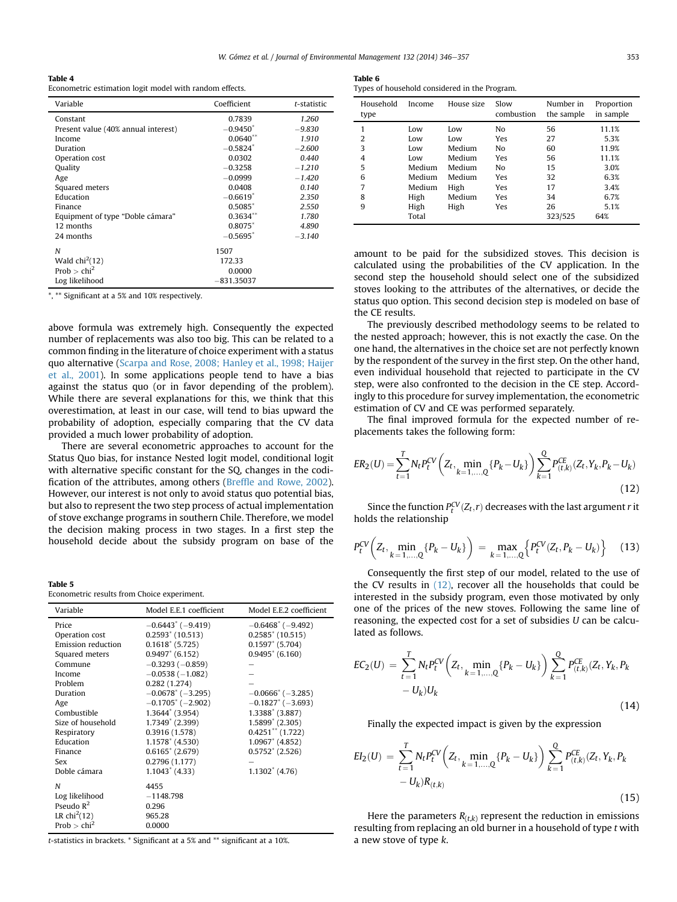Tal

#### <span id="page-7-0"></span>Table 4

Econometric estimation logit model with random effects.

| Variable                            | Coefficient           | t-statistic |
|-------------------------------------|-----------------------|-------------|
| Constant                            | 0.7839                | 1.260       |
| Present value (40% annual interest) | $-0.9450*$            | $-9.830$    |
| Income                              | $0.0640**$            | 1.910       |
| Duration                            | $-0.5824*$            | $-2.600$    |
| Operation cost                      | 0.0302                | 0.440       |
| Ouality                             | $-0.3258$             | $-1.210$    |
| Age                                 | $-0.0999$             | $-1.420$    |
| Squared meters                      | 0.0408                | 0.140       |
| Education                           | $-0.6619*$            | 2.350       |
| Finance                             | $0.5085*$             | 2.550       |
| Equipment of type "Doble cámara"    | $0.3634**$            | 1.780       |
| 12 months                           | $0.8075$ <sup>*</sup> | 4.890       |
| 24 months                           | $-0.5695*$            | $-3.140$    |
| N                                   | 1507                  |             |
| Wald $chi2(12)$                     | 172.33                |             |
| Prob $>$ chi <sup>2</sup>           | 0.0000                |             |
| Log likelihood                      | $-831.35037$          |             |

\*, \*\* Significant at a 5% and 10% respectively.

above formula was extremely high. Consequently the expected number of replacements was also too big. This can be related to a common finding in the literature of choice experiment with a status quo alternative [\(Scarpa and Rose, 2008; Hanley et al., 1998; Haijer](#page-11-0) [et al., 2001](#page-11-0)). In some applications people tend to have a bias against the status quo (or in favor depending of the problem). While there are several explanations for this, we think that this overestimation, at least in our case, will tend to bias upward the probability of adoption, especially comparing that the CV data provided a much lower probability of adoption.

There are several econometric approaches to account for the Status Quo bias, for instance Nested logit model, conditional logit with alternative specific constant for the SQ, changes in the codification of the attributes, among others (Breffl[e and Rowe, 2002\)](#page-10-0). However, our interest is not only to avoid status quo potential bias, but also to represent the two step process of actual implementation of stove exchange programs in southern Chile. Therefore, we model the decision making process in two stages. In a first step the household decide about the subsidy program on base of the

Table 5

Econometric results from Choice experiment.

| Variable                                                                                                                                                                                  | Model E.E.1 coefficient                                                                                                                                                                                                                                                                                            | Model E.E.2 coefficient                                                                                                                                                                                                                               |
|-------------------------------------------------------------------------------------------------------------------------------------------------------------------------------------------|--------------------------------------------------------------------------------------------------------------------------------------------------------------------------------------------------------------------------------------------------------------------------------------------------------------------|-------------------------------------------------------------------------------------------------------------------------------------------------------------------------------------------------------------------------------------------------------|
| Price<br>Operation cost<br><b>Emission reduction</b><br>Squared meters<br>Commune<br>Income<br>Problem<br>Duration<br>Age<br>Combustible<br>Size of household<br>Respiratory<br>Education | $-0.6443$ <sup>*</sup> ( $-9.419$ )<br>$0.2593$ <sup>*</sup> (10.513)<br>$0.1618^*$ (5.725)<br>$0.9497$ (6.152)<br>$-0.3293(-0.859)$<br>$-0.0538(-1.082)$<br>0.282(1.274)<br>$-0.0678$ (-3.295)<br>$-0.1705$ <sup>*</sup> (-2.902)<br>$1.3644^*$ (3.954)<br>1.7349* (2.399)<br>0.3916(1.578)<br>$1.1578^*$ (4.530) | $-0.6468^*$ ( $-9.492$ )<br>$0.2585$ (10.515)<br>$0.1597$ (5.704)<br>$0.9495$ <sup>*</sup> (6.160)<br>$-0.0666^*$ ( $-3.285$ )<br>$-0.1827$ * (-3.693)<br>1.3388 (3.887)<br>$1.5899*$ (2.305)<br>$0.4251***$ (1.722)<br>$1.0967$ <sup>*</sup> (4.852) |
| Finance<br>Sex<br>Doble cámara                                                                                                                                                            | $0.6165$ <sup>*</sup> (2.679)<br>0.2796(1.177)<br>$1.1043$ <sup>*</sup> (4.33)                                                                                                                                                                                                                                     | $0.5752^* (2.526)$<br>$1.1302^*$ (4.76)                                                                                                                                                                                                               |
| N<br>Log likelihood<br>Pseudo $R^2$<br>LR chi <sup>2</sup> $(12)$<br>Prob $>$ chi <sup>2</sup>                                                                                            | 4455<br>$-1148.798$<br>0.296<br>965.28<br>0.0000                                                                                                                                                                                                                                                                   |                                                                                                                                                                                                                                                       |

t-statistics in brackets. \* Significant at a 5% and \*\* significant at a 10%.

| ble 6 |  |  |  |  |
|-------|--|--|--|--|
|       |  |  |  |  |

| Types of household considered in the Program. |  |
|-----------------------------------------------|--|
|-----------------------------------------------|--|

| Household<br>type | Income | House size | Slow<br>combustion | Number in<br>the sample | Proportion<br>in sample |
|-------------------|--------|------------|--------------------|-------------------------|-------------------------|
|                   | Low    | Low        | No                 | 56                      | 11.1%                   |
| 2                 | Low    | Low        | Yes                | 27                      | 5.3%                    |
| 3                 | Low    | Medium     | No                 | 60                      | 11.9%                   |
| 4                 | Low    | Medium     | Yes                | 56                      | 11.1%                   |
| 5                 | Medium | Medium     | No                 | 15                      | 3.0%                    |
| 6                 | Medium | Medium     | Yes                | 32                      | 6.3%                    |
| 7                 | Medium | High       | Yes                | 17                      | 3.4%                    |
| 8                 | High   | Medium     | Yes                | 34                      | 6.7%                    |
| 9                 | High   | High       | Yes                | 26                      | 5.1%                    |
|                   | Total  |            |                    | 323/525                 | 64%                     |

amount to be paid for the subsidized stoves. This decision is calculated using the probabilities of the CV application. In the second step the household should select one of the subsidized stoves looking to the attributes of the alternatives, or decide the status quo option. This second decision step is modeled on base of the CE results.

The previously described methodology seems to be related to the nested approach; however, this is not exactly the case. On the one hand, the alternatives in the choice set are not perfectly known by the respondent of the survey in the first step. On the other hand, even individual household that rejected to participate in the CV step, were also confronted to the decision in the CE step. Accordingly to this procedure for survey implementation, the econometric estimation of CV and CE was performed separately.

The final improved formula for the expected number of replacements takes the following form:

$$
ER_2(U) = \sum_{t=1}^{T} N_t P_t^{CV} \left( Z_t, \min_{k=1,\dots,Q} \{ P_k - U_k \} \right) \sum_{k=1}^{Q} P_{(t,k)}^{CE} (Z_t, Y_k, P_k - U_k)
$$
\n(12)

Since the function  $P_t^{\text{CV}}(Z_t, r)$  decreases with the last argument r it<br>ds the relationship holds the relationship

$$
P_t^{CV}\left(Z_t, \min_{k=1,\dots,Q} \{P_k - U_k\}\right) = \max_{k=1,\dots,Q} \left\{P_t^{CV}(Z_t, P_k - U_k)\right\}
$$
(13)

Consequently the first step of our model, related to the use of the CV results in (12), recover all the households that could be interested in the subsidy program, even those motivated by only one of the prices of the new stoves. Following the same line of reasoning, the expected cost for a set of subsidies  $U$  can be calculated as follows.

$$
EC_2(U) = \sum_{t=1}^{T} N_t P_t^{CV} \left( Z_t, \min_{k=1,\dots,Q} \{ P_k - U_k \} \right) \sum_{k=1}^{Q} P_{(t,k)}^{CE} (Z_t, Y_k, P_k - U_k) U_k
$$
\n(14)

Finally the expected impact is given by the expression

$$
EI_2(U) = \sum_{t=1}^{T} N_t P_t^{CV} \left( Z_t, \min_{k=1,\dots,Q} \{ P_k - U_k \} \right) \sum_{k=1}^{Q} P_{(t,k)}^{CE} (Z_t, Y_k, P_k - U_k) R_{(t,k)}
$$
\n(15)

Here the parameters  $R_{(t,k)}$  represent the reduction in emissions resulting from replacing an old burner in a household of type t with a new stove of type k.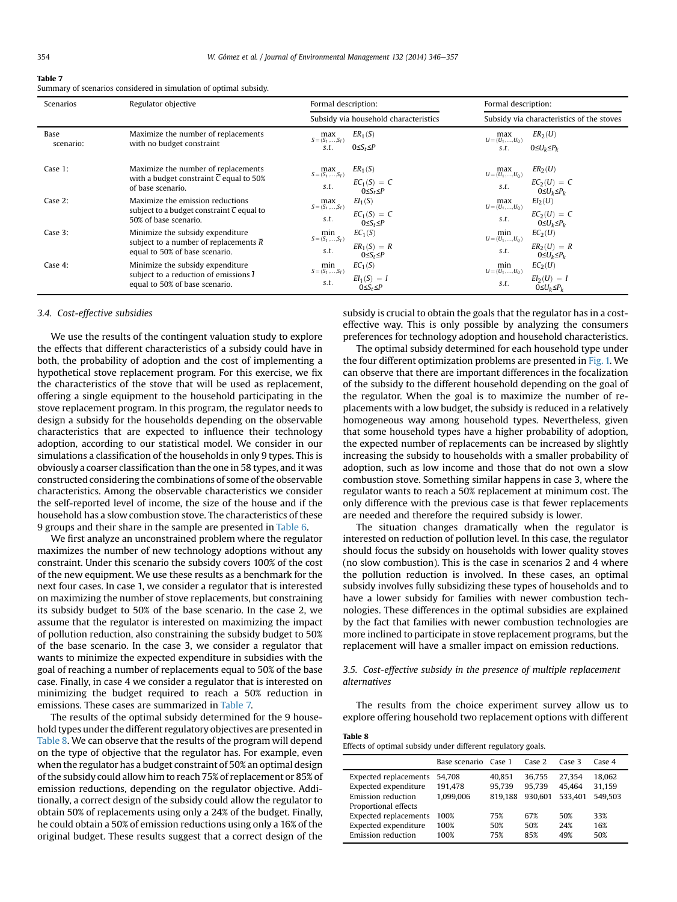<span id="page-8-0"></span>

| Summary of scenarios considered in simulation of optimal subsidy. |  |  |  |
|-------------------------------------------------------------------|--|--|--|
|                                                                   |  |  |  |

| Scenarios         | Regulator objective                                                                                                      | Formal description:                                                                          | Formal description:                                                                                                  |
|-------------------|--------------------------------------------------------------------------------------------------------------------------|----------------------------------------------------------------------------------------------|----------------------------------------------------------------------------------------------------------------------|
|                   |                                                                                                                          | Subsidy via household characteristics                                                        | Subsidy via characteristics of the stoves                                                                            |
| Base<br>scenario: | Maximize the number of replacements<br>with no budget constraint                                                         | $ER_1(S)$<br>max<br>$S=(S_1,\ldots,S_T)$<br>$0 \leq S_t \leq P$<br>s.t.                      | ER <sub>2</sub> (U)<br>max<br>$U = (U_1, , U_O)$<br>$0 \le U_k \le P_k$<br>s.t.                                      |
| Case 1:           | Maximize the number of replacements<br>with a budget constraint $\overline{C}$ equal to 50%<br>of base scenario.         | $ER_1(S)$<br>max<br>$S=(S_1,\ldots,S_T)$<br>$EC_1(S) = C$<br>s.t.<br>$0 \leq S_t \leq P$     | ER <sub>2</sub> (U)<br>max<br>$U = (U_1, , U_0)$<br>$EC_2(U) = C$<br>s.t.<br>$0 \le U_k \le P_k$                     |
| Case 2:           | Maximize the emission reductions<br>subject to a budget constraint $\overline{C}$ equal to<br>50% of base scenario.      | $EI_1(S)$<br>max<br>$S = (S_1, \ldots, S_T)$<br>$EC_1(S) = C$<br>S.t.<br>$0 \leq S_t \leq P$ | EI <sub>2</sub> (U)<br>max<br>$U = (U_1, , U_O)$<br>$EC_2(U) = C$<br>s.t.<br>$0 \le U_k \le P_k$                     |
| Case 3:           | Minimize the subsidy expenditure<br>subject to a number of replacements $\overline{R}$<br>equal to 50% of base scenario. | $EC_1(S)$<br>min<br>$S=(S_1,\ldots,S_T)$<br>$ER_1(S) = R$<br>S.t.<br>$0 \leq S_t \leq P$     | EC <sub>2</sub> (U)<br>min<br>$U = (\overline{U_1},,\overline{U_0})$<br>$ER_2(U) = R$<br>s.t.<br>$0 \le U_k \le P_k$ |
| Case 4:           | Minimize the subsidy expenditure<br>subject to a reduction of emissions $\overline{I}$<br>equal to 50% of base scenario. | $EC_1(S)$<br>min<br>$S = (S_1, \ldots, S_T)$<br>$EI_1(S) = I$<br>s.t.<br>$0 \leq S_t \leq P$ | $EC_2(U)$<br>min<br>$U = (U_1, , U_0)$<br>$EI_2(U) = I$<br>s.t.<br>$0 \le U_k \le P_k$                               |

# 3.4. Cost-effective subsidies

We use the results of the contingent valuation study to explore the effects that different characteristics of a subsidy could have in both, the probability of adoption and the cost of implementing a hypothetical stove replacement program. For this exercise, we fix the characteristics of the stove that will be used as replacement, offering a single equipment to the household participating in the stove replacement program. In this program, the regulator needs to design a subsidy for the households depending on the observable characteristics that are expected to influence their technology adoption, according to our statistical model. We consider in our simulations a classification of the households in only 9 types. This is obviously a coarser classification than the one in 58 types, and it was constructed considering the combinations of some of the observable characteristics. Among the observable characteristics we consider the self-reported level of income, the size of the house and if the household has a slow combustion stove. The characteristics of these 9 groups and their share in the sample are presented in [Table 6.](#page-7-0)

We first analyze an unconstrained problem where the regulator maximizes the number of new technology adoptions without any constraint. Under this scenario the subsidy covers 100% of the cost of the new equipment. We use these results as a benchmark for the next four cases. In case 1, we consider a regulator that is interested on maximizing the number of stove replacements, but constraining its subsidy budget to 50% of the base scenario. In the case 2, we assume that the regulator is interested on maximizing the impact of pollution reduction, also constraining the subsidy budget to 50% of the base scenario. In the case 3, we consider a regulator that wants to minimize the expected expenditure in subsidies with the goal of reaching a number of replacements equal to 50% of the base case. Finally, in case 4 we consider a regulator that is interested on minimizing the budget required to reach a 50% reduction in emissions. These cases are summarized in Table 7.

The results of the optimal subsidy determined for the 9 household types under the different regulatory objectives are presented in Table 8. We can observe that the results of the program will depend on the type of objective that the regulator has. For example, even when the regulator has a budget constraint of 50% an optimal design of the subsidy could allow him to reach 75% of replacement or 85% of emission reductions, depending on the regulator objective. Additionally, a correct design of the subsidy could allow the regulator to obtain 50% of replacements using only a 24% of the budget. Finally, he could obtain a 50% of emission reductions using only a 16% of the original budget. These results suggest that a correct design of the subsidy is crucial to obtain the goals that the regulator has in a costeffective way. This is only possible by analyzing the consumers preferences for technology adoption and household characteristics.

The optimal subsidy determined for each household type under the four different optimization problems are presented in [Fig. 1.](#page-9-0) We can observe that there are important differences in the focalization of the subsidy to the different household depending on the goal of the regulator. When the goal is to maximize the number of replacements with a low budget, the subsidy is reduced in a relatively homogeneous way among household types. Nevertheless, given that some household types have a higher probability of adoption, the expected number of replacements can be increased by slightly increasing the subsidy to households with a smaller probability of adoption, such as low income and those that do not own a slow combustion stove. Something similar happens in case 3, where the regulator wants to reach a 50% replacement at minimum cost. The only difference with the previous case is that fewer replacements are needed and therefore the required subsidy is lower.

The situation changes dramatically when the regulator is interested on reduction of pollution level. In this case, the regulator should focus the subsidy on households with lower quality stoves (no slow combustion). This is the case in scenarios 2 and 4 where the pollution reduction is involved. In these cases, an optimal subsidy involves fully subsidizing these types of households and to have a lower subsidy for families with newer combustion technologies. These differences in the optimal subsidies are explained by the fact that families with newer combustion technologies are more inclined to participate in stove replacement programs, but the replacement will have a smaller impact on emission reductions.

# 3.5. Cost-effective subsidy in the presence of multiple replacement alternatives

The results from the choice experiment survey allow us to explore offering household two replacement options with different

## Table 8

Effects of optimal subsidy under different regulatory goals.

|                                                                                             | Base scenario Case 1           |                             | Case 2                      | Case 3                      | Case 4                      |
|---------------------------------------------------------------------------------------------|--------------------------------|-----------------------------|-----------------------------|-----------------------------|-----------------------------|
| Expected replacements<br>Expected expenditure<br>Emission reduction<br>Proportional effects | 54.708<br>191.478<br>1.099.006 | 40.851<br>95.739<br>819.188 | 36.755<br>95.739<br>930.601 | 27.354<br>45.464<br>533.401 | 18.062<br>31,159<br>549.503 |
| <b>Expected replacements</b><br>Expected expenditure<br>Emission reduction                  | 100%<br>100%<br>100%           | 75%<br>50%<br>75%           | 67%<br>50%<br>85%           | 50%<br>24%<br>49%           | 33%<br>16%<br>50%           |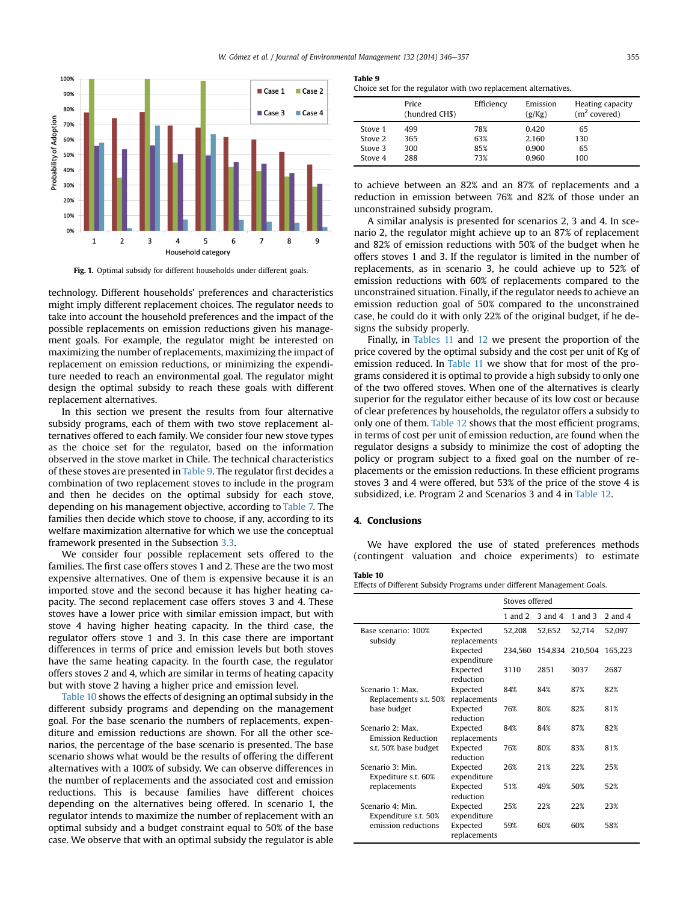<span id="page-9-0"></span>

Fig. 1. Optimal subsidy for different households under different goals.

technology. Different households' preferences and characteristics might imply different replacement choices. The regulator needs to take into account the household preferences and the impact of the possible replacements on emission reductions given his management goals. For example, the regulator might be interested on maximizing the number of replacements, maximizing the impact of replacement on emission reductions, or minimizing the expenditure needed to reach an environmental goal. The regulator might design the optimal subsidy to reach these goals with different replacement alternatives.

In this section we present the results from four alternative subsidy programs, each of them with two stove replacement alternatives offered to each family. We consider four new stove types as the choice set for the regulator, based on the information observed in the stove market in Chile. The technical characteristics of these stoves are presented in Table 9. The regulator first decides a combination of two replacement stoves to include in the program and then he decides on the optimal subsidy for each stove, depending on his management objective, according to [Table 7.](#page-8-0) The families then decide which stove to choose, if any, according to its welfare maximization alternative for which we use the conceptual framework presented in the Subsection [3.3](#page-6-0).

We consider four possible replacement sets offered to the families. The first case offers stoves 1 and 2. These are the two most expensive alternatives. One of them is expensive because it is an imported stove and the second because it has higher heating capacity. The second replacement case offers stoves 3 and 4. These stoves have a lower price with similar emission impact, but with stove 4 having higher heating capacity. In the third case, the regulator offers stove 1 and 3. In this case there are important differences in terms of price and emission levels but both stoves have the same heating capacity. In the fourth case, the regulator offers stoves 2 and 4, which are similar in terms of heating capacity but with stove 2 having a higher price and emission level.

Table 10 shows the effects of designing an optimal subsidy in the different subsidy programs and depending on the management goal. For the base scenario the numbers of replacements, expenditure and emission reductions are shown. For all the other scenarios, the percentage of the base scenario is presented. The base scenario shows what would be the results of offering the different alternatives with a 100% of subsidy. We can observe differences in the number of replacements and the associated cost and emission reductions. This is because families have different choices depending on the alternatives being offered. In scenario 1, the regulator intends to maximize the number of replacement with an optimal subsidy and a budget constraint equal to 50% of the base case. We observe that with an optimal subsidy the regulator is able

Choice set for the regulator with two replacement alternatives.

|         | Price<br>(hundred CH\$) | Efficiency | Emission<br>(g/Kg) | Heating capacity<br>(m <sup>2</sup> covered) |
|---------|-------------------------|------------|--------------------|----------------------------------------------|
| Stove 1 | 499                     | 78%        | 0.420              | 65                                           |
| Stove 2 | 365                     | 63%        | 2.160              | 130                                          |
| Stove 3 | 300                     | 85%        | 0.900              | 65                                           |
| Stove 4 | 288                     | 73%        | 0.960              | 100                                          |

to achieve between an 82% and an 87% of replacements and a reduction in emission between 76% and 82% of those under an unconstrained subsidy program.

A similar analysis is presented for scenarios 2, 3 and 4. In scenario 2, the regulator might achieve up to an 87% of replacement and 82% of emission reductions with 50% of the budget when he offers stoves 1 and 3. If the regulator is limited in the number of replacements, as in scenario 3, he could achieve up to 52% of emission reductions with 60% of replacements compared to the unconstrained situation. Finally, if the regulator needs to achieve an emission reduction goal of 50% compared to the unconstrained case, he could do it with only 22% of the original budget, if he designs the subsidy properly.

Finally, in [Tables 11](#page-10-0) and [12](#page-10-0) we present the proportion of the price covered by the optimal subsidy and the cost per unit of Kg of emission reduced. In [Table 11](#page-10-0) we show that for most of the programs considered it is optimal to provide a high subsidy to only one of the two offered stoves. When one of the alternatives is clearly superior for the regulator either because of its low cost or because of clear preferences by households, the regulator offers a subsidy to only one of them. [Table 12](#page-10-0) shows that the most efficient programs, in terms of cost per unit of emission reduction, are found when the regulator designs a subsidy to minimize the cost of adopting the policy or program subject to a fixed goal on the number of replacements or the emission reductions. In these efficient programs stoves 3 and 4 were offered, but 53% of the price of the stove 4 is subsidized, i.e. Program 2 and Scenarios 3 and 4 in [Table 12.](#page-10-0)

## 4. Conclusions

We have explored the use of stated preferences methods (contingent valuation and choice experiments) to estimate

# Table 10

Effects of Different Subsidy Programs under different Management Goals.

|                                              |                          | Stoves offered |             |           |             |  |
|----------------------------------------------|--------------------------|----------------|-------------|-----------|-------------|--|
|                                              |                          | 1 and $2$      | $3$ and $4$ | 1 and $3$ | $2$ and $4$ |  |
| Base scenario: 100%<br>subsidy               | Expected<br>replacements | 52,208         | 52.652      | 52,714    | 52.097      |  |
|                                              | Expected<br>expenditure  | 234.560        | 154.834     | 210,504   | 165.223     |  |
|                                              | Expected<br>reduction    | 3110           | 2851        | 3037      | 2687        |  |
| Scenario 1: Max.<br>Replacements s.t. 50%    | Expected<br>replacements | 84%            | 84%         | 87%       | 82%         |  |
| base budget                                  | Expected<br>reduction    | 76%            | 80%         | 82%       | 81%         |  |
| Scenario 2: Max<br><b>Emission Reduction</b> | Expected<br>replacements | 84%            | 84%         | 87%       | 82%         |  |
| s.t. 50% base budget                         | Expected<br>reduction    | 76%            | 80%         | 83%       | 81%         |  |
| Scenario 3: Min.<br>Expediture s.t. 60%      | Expected<br>expenditure  | 26%            | 21%         | 22%       | 25%         |  |
| replacements                                 | Expected<br>reduction    | 51%            | 49%         | 50%       | 52%         |  |
| Scenario 4: Min<br>Expenditure s.t. 50%      | Expected<br>expenditure  | 25%            | 22%         | 22%       | 23%         |  |
| emission reductions                          | Expected<br>replacements | 59%            | 60%         | 60%       | 58%         |  |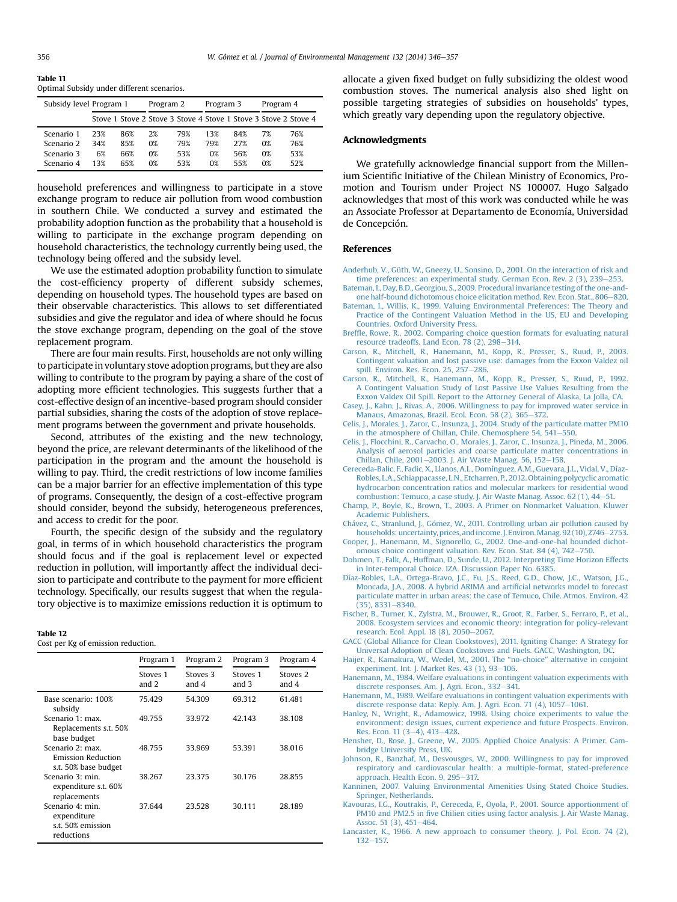<span id="page-10-0"></span>Table 11

#### Optimal Subsidy under different scenarios.

|            | Subsidy level Program 1 |                                                                 | Program 2 |     | Program 3 |     | Program 4 |     |
|------------|-------------------------|-----------------------------------------------------------------|-----------|-----|-----------|-----|-----------|-----|
|            |                         | Stove 1 Stove 2 Stove 3 Stove 4 Stove 1 Stove 3 Stove 2 Stove 4 |           |     |           |     |           |     |
| Scenario 1 | 23%                     | 86%                                                             | 2%        | 79% | 13%       | 84% | 7%        | 76% |
| Scenario 2 | 34%                     | 85%                                                             | 0%        | 79% | 79%       | 27% | 0%        | 76% |
| Scenario 3 | 6%                      | 66%                                                             | 0%        | 53% | 0%        | 56% | 0%        | 53% |
| Scenario 4 | 13%                     | 65%                                                             | $0\%$     | 53% | 0%        | 55% | 0%        | 52% |

household preferences and willingness to participate in a stove exchange program to reduce air pollution from wood combustion in southern Chile. We conducted a survey and estimated the probability adoption function as the probability that a household is willing to participate in the exchange program depending on household characteristics, the technology currently being used, the technology being offered and the subsidy level.

We use the estimated adoption probability function to simulate the cost-efficiency property of different subsidy schemes, depending on household types. The household types are based on their observable characteristics. This allows to set differentiated subsidies and give the regulator and idea of where should he focus the stove exchange program, depending on the goal of the stove replacement program.

There are four main results. First, households are not only willing to participate in voluntary stove adoption programs, but they are also willing to contribute to the program by paying a share of the cost of adopting more efficient technologies. This suggests further that a cost-effective design of an incentive-based program should consider partial subsidies, sharing the costs of the adoption of stove replacement programs between the government and private households.

Second, attributes of the existing and the new technology, beyond the price, are relevant determinants of the likelihood of the participation in the program and the amount the household is willing to pay. Third, the credit restrictions of low income families can be a major barrier for an effective implementation of this type of programs. Consequently, the design of a cost-effective program should consider, beyond the subsidy, heterogeneous preferences, and access to credit for the poor.

Fourth, the specific design of the subsidy and the regulatory goal, in terms of in which household characteristics the program should focus and if the goal is replacement level or expected reduction in pollution, will importantly affect the individual decision to participate and contribute to the payment for more efficient technology. Specifically, our results suggest that when the regulatory objective is to maximize emissions reduction it is optimum to

#### Table 12

Cost per Kg of emission reduction.

|                                                                    | Program 1           | Program 2         | Program 3         | Program 4                    |
|--------------------------------------------------------------------|---------------------|-------------------|-------------------|------------------------------|
|                                                                    | Stoves 1<br>and $2$ | Stoves 3<br>and 4 | Stoves 1<br>and 3 | Stoves <sub>2</sub><br>and 4 |
| Base scenario: 100%<br>subsidy                                     | 75.429              | 54.309            | 69.312            | 61.481                       |
| Scenario $1$ ; max<br>Replacements s.t. 50%<br>base budget         | 49.755              | 33.972            | 42 143            | 38.108                       |
| Scenario 2: max.<br>Emission Reduction<br>s.t. 50% base budget     | 48.755              | 33.969            | 53.391            | 38.016                       |
| Scenario 3: min.<br>expenditure s.t. 60%<br>replacements           | 38.267              | 23.375            | 30.176            | 28.855                       |
| Scenario 4: min.<br>expenditure<br>s.t. 50% emission<br>reductions | 37.644              | 23.528            | 30.111            | 28.189                       |

allocate a given fixed budget on fully subsidizing the oldest wood combustion stoves. The numerical analysis also shed light on possible targeting strategies of subsidies on households' types, which greatly vary depending upon the regulatory objective.

## Acknowledgments

We gratefully acknowledge financial support from the Millenium Scientific Initiative of the Chilean Ministry of Economics, Promotion and Tourism under Project NS 100007. Hugo Salgado acknowledges that most of this work was conducted while he was an Associate Professor at Departamento de Economía, Universidad de Concepción.

# References

- [Anderhub, V., Güth, W., Gneezy, U., Sonsino, D., 2001. On the interaction of risk and](http://refhub.elsevier.com/S0301-4797(13)00713-5/sref1) [time preferences: an experimental study. German Econ. Rev. 2 \(3\), 239](http://refhub.elsevier.com/S0301-4797(13)00713-5/sref1)-[253.](http://refhub.elsevier.com/S0301-4797(13)00713-5/sref1)
- [Bateman, I., Day, B.D., Georgiou, S., 2009. Procedural invariance testing of the one-and](http://refhub.elsevier.com/S0301-4797(13)00713-5/sref2)[one half-bound dichotomous choice elicitation method. Rev. Econ. Stat., 806](http://refhub.elsevier.com/S0301-4797(13)00713-5/sref2)-[820](http://refhub.elsevier.com/S0301-4797(13)00713-5/sref2).
- [Bateman, I., Willis, K., 1999. Valuing Environmental Preferences: The Theory and](http://refhub.elsevier.com/S0301-4797(13)00713-5/sref3) [Practice of the Contingent Valuation Method in the US, EU and Developing](http://refhub.elsevier.com/S0301-4797(13)00713-5/sref3) [Countries. Oxford University Press](http://refhub.elsevier.com/S0301-4797(13)00713-5/sref3).
- Breffl[e, Rowe, R., 2002. Comparing choice question formats for evaluating natural](http://refhub.elsevier.com/S0301-4797(13)00713-5/sref4) [resource tradeoffs. Land Econ. 78 \(2\), 298](http://refhub.elsevier.com/S0301-4797(13)00713-5/sref4)-[314.](http://refhub.elsevier.com/S0301-4797(13)00713-5/sref4)
- [Carson, R., Mitchell, R., Hanemann, M., Kopp, R., Presser, S., Ruud, P., 2003.](http://refhub.elsevier.com/S0301-4797(13)00713-5/sref5) [Contingent valuation and lost passive use: damages from the Exxon Valdez oil](http://refhub.elsevier.com/S0301-4797(13)00713-5/sref5) [spill. Environ. Res. Econ. 25, 257](http://refhub.elsevier.com/S0301-4797(13)00713-5/sref5)-[286](http://refhub.elsevier.com/S0301-4797(13)00713-5/sref5).
- [Carson, R., Mitchell, R., Hanemann, M., Kopp, R., Presser, S., Ruud, P., 1992.](http://refhub.elsevier.com/S0301-4797(13)00713-5/sref6) [A Contingent Valuation Study of Lost Passive Use Values Resulting from the](http://refhub.elsevier.com/S0301-4797(13)00713-5/sref6) [Exxon Valdex Oil Spill. Report to the Attorney General of Alaska, La Jolla, CA.](http://refhub.elsevier.com/S0301-4797(13)00713-5/sref6)
- [Casey, J., Kahn, J., Rivas, A., 2006. Willingness to pay for improved water service in](http://refhub.elsevier.com/S0301-4797(13)00713-5/sref7) [Manaus, Amazonas, Brazil. Ecol. Econ. 58 \(2\), 365](http://refhub.elsevier.com/S0301-4797(13)00713-5/sref7)–[372.](http://refhub.elsevier.com/S0301-4797(13)00713-5/sref7)
- [Celis, J., Morales, J., Zaror, C., Insunza, J., 2004. Study of the particulate matter PM10](http://refhub.elsevier.com/S0301-4797(13)00713-5/sref8) [in the atmosphere of Chillan, Chile. Chemosphere 54, 541](http://refhub.elsevier.com/S0301-4797(13)00713-5/sref8)-[550](http://refhub.elsevier.com/S0301-4797(13)00713-5/sref8).
- [Celis, J., Flocchini, R., Carvacho, O., Morales, J., Zaror, C., Insunza, J., Pineda, M., 2006.](http://refhub.elsevier.com/S0301-4797(13)00713-5/sref9) [Analysis of aerosol particles and coarse particulate matter concentrations in](http://refhub.elsevier.com/S0301-4797(13)00713-5/sref9) [Chillan, Chile, 2001](http://refhub.elsevier.com/S0301-4797(13)00713-5/sref9)-[2003. J. Air Waste Manag. 56, 152](http://refhub.elsevier.com/S0301-4797(13)00713-5/sref9)-[158](http://refhub.elsevier.com/S0301-4797(13)00713-5/sref9).
- [Cereceda-Balic, F., Fadic, X., Llanos, A.L., Domínguez, A.M., Guevara, J.L., Vidal, V., Díaz-](http://refhub.elsevier.com/S0301-4797(13)00713-5/sref10)[Robles, L.A., Schiappacasse, L.N., Etcharren, P., 2012. Obtaining polycyclic aromatic](http://refhub.elsevier.com/S0301-4797(13)00713-5/sref10) [hydrocarbon concentration ratios and molecular markers for residential wood](http://refhub.elsevier.com/S0301-4797(13)00713-5/sref10) [combustion: Temuco, a case study. J. Air Waste Manag. Assoc. 62 \(1\), 44](http://refhub.elsevier.com/S0301-4797(13)00713-5/sref10)-[51.](http://refhub.elsevier.com/S0301-4797(13)00713-5/sref10)
- [Champ, P., Boyle, K., Brown, T., 2003. A Primer on Nonmarket Valuation. Kluwer](http://refhub.elsevier.com/S0301-4797(13)00713-5/sref11) [Academic Publishers](http://refhub.elsevier.com/S0301-4797(13)00713-5/sref11).
- [Chávez, C., Stranlund, J., Gómez, W., 2011. Controlling urban air pollution caused by](http://refhub.elsevier.com/S0301-4797(13)00713-5/sref12) households: uncertainty, prices, and income. J. Environ. Manag. 92 (10), 2746-[2753](http://refhub.elsevier.com/S0301-4797(13)00713-5/sref12).
- [Cooper, J., Hanemann, M., Signorello, G., 2002. One-and-one-hal bounded dichot](http://refhub.elsevier.com/S0301-4797(13)00713-5/sref13)omous choice contingent valuation. Rev. Econ. Stat. 84  $(4)$ , 742-[750.](http://refhub.elsevier.com/S0301-4797(13)00713-5/sref13) [Dohmen, T., Falk, A., Huffman, D., Sunde, U., 2012. Interpreting Time Horizon Effects](http://refhub.elsevier.com/S0301-4797(13)00713-5/sref14)
- [in Inter-temporal Choice. IZA. Discussion Paper No. 6385](http://refhub.elsevier.com/S0301-4797(13)00713-5/sref14).
- [Díaz-Robles, L.A., Ortega-Bravo, J.C., Fu, J.S., Reed, G.D., Chow, J.C., Watson, J.G.,](http://refhub.elsevier.com/S0301-4797(13)00713-5/sref15) [Moncada, J.A., 2008. A hybrid ARIMA and arti](http://refhub.elsevier.com/S0301-4797(13)00713-5/sref15)ficial networks model to forecast [particulate matter in urban areas: the case of Temuco, Chile. Atmos. Environ. 42](http://refhub.elsevier.com/S0301-4797(13)00713-5/sref15)  $(35)$ , 8331-[8340](http://refhub.elsevier.com/S0301-4797(13)00713-5/sref15).
- [Fischer, B., Turner, K., Zylstra, M., Brouwer, R., Groot, R., Farber, S., Ferraro, P., et al.,](http://refhub.elsevier.com/S0301-4797(13)00713-5/sref16) [2008. Ecosystem services and economic theory: integration for policy-relevant](http://refhub.elsevier.com/S0301-4797(13)00713-5/sref16) [research. Ecol. Appl. 18 \(8\), 2050](http://refhub.elsevier.com/S0301-4797(13)00713-5/sref16)-[2067.](http://refhub.elsevier.com/S0301-4797(13)00713-5/sref16)
- [GACC \(Global Alliance for Clean Cookstoves\), 2011. Igniting Change: A Strategy for](http://refhub.elsevier.com/S0301-4797(13)00713-5/sref17) [Universal Adoption of Clean Cookstoves and Fuels. GACC, Washington, DC](http://refhub.elsevier.com/S0301-4797(13)00713-5/sref17).
- [Haijer, R., Kamakura, W., Wedel, M., 2001. The](http://refhub.elsevier.com/S0301-4797(13)00713-5/sref18) "no-choice" alternative in conjoint experiment. Int. I. Market Res.  $43$   $(1)$ ,  $93-106$ .
- [Hanemann, M., 1984. Welfare evaluations in contingent valuation experiments with](http://refhub.elsevier.com/S0301-4797(13)00713-5/sref19) [discrete responses. Am. J. Agri. Econ., 332](http://refhub.elsevier.com/S0301-4797(13)00713-5/sref19)-[341.](http://refhub.elsevier.com/S0301-4797(13)00713-5/sref19)
- [Hanemann, M., 1989. Welfare evaluations in contingent valuation experiments with](http://refhub.elsevier.com/S0301-4797(13)00713-5/sref20) [discrete response data: Reply. Am. J. Agri. Econ. 71 \(4\), 1057](http://refhub.elsevier.com/S0301-4797(13)00713-5/sref20)-[1061.](http://refhub.elsevier.com/S0301-4797(13)00713-5/sref20)
- [Hanley, N., Wright, R., Adamowicz, 1998. Using choice experiments to value the](http://refhub.elsevier.com/S0301-4797(13)00713-5/sref21) [environment: design issues, current experience and future Prospects. Environ.](http://refhub.elsevier.com/S0301-4797(13)00713-5/sref21) [Res. Econ. 11 \(3](http://refhub.elsevier.com/S0301-4797(13)00713-5/sref21)-[4\), 413](http://refhub.elsevier.com/S0301-4797(13)00713-5/sref21)-[428.](http://refhub.elsevier.com/S0301-4797(13)00713-5/sref21)
- [Hensher, D., Rose, J., Greene, W., 2005. Applied Choice Analysis: A Primer. Cam](http://refhub.elsevier.com/S0301-4797(13)00713-5/sref22)[bridge University Press, UK.](http://refhub.elsevier.com/S0301-4797(13)00713-5/sref22)
- [Johnson, R., Banzhaf, M., Desvousges, W., 2000. Willingness to pay for improved](http://refhub.elsevier.com/S0301-4797(13)00713-5/sref23) [respiratory and cardiovascular health: a multiple-format, stated-preference](http://refhub.elsevier.com/S0301-4797(13)00713-5/sref23) [approach. Health Econ. 9, 295](http://refhub.elsevier.com/S0301-4797(13)00713-5/sref23)-[317.](http://refhub.elsevier.com/S0301-4797(13)00713-5/sref23)
- [Kanninen, 2007. Valuing Environmental Amenities Using Stated Choice Studies.](http://refhub.elsevier.com/S0301-4797(13)00713-5/sref24) [Springer, Netherlands.](http://refhub.elsevier.com/S0301-4797(13)00713-5/sref24)
- [Kavouras, I.G., Koutrakis, P., Cereceda, F., Oyola, P., 2001. Source apportionment of](http://refhub.elsevier.com/S0301-4797(13)00713-5/sref25) PM10 and PM2.5 in fi[ve Chilien cities using factor analysis. J. Air Waste Manag.](http://refhub.elsevier.com/S0301-4797(13)00713-5/sref25) [Assoc. 51 \(3\), 451](http://refhub.elsevier.com/S0301-4797(13)00713-5/sref25)-[464](http://refhub.elsevier.com/S0301-4797(13)00713-5/sref25).
- [Lancaster, K., 1966. A new approach to consumer theory. J. Pol. Econ. 74 \(2\),](http://refhub.elsevier.com/S0301-4797(13)00713-5/sref26)  $132 - 157.$  $132 - 157.$  $132 - 157.$